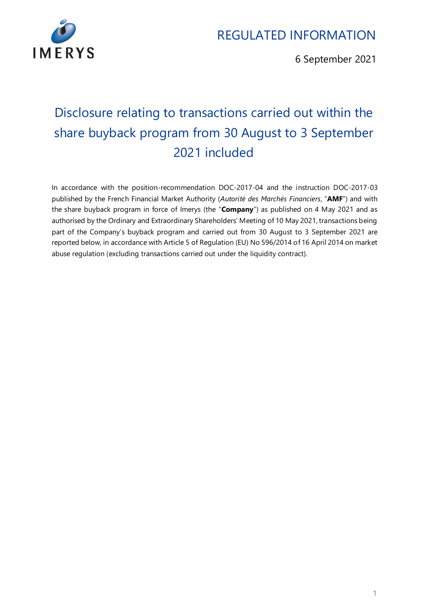

6 September 2021

# Disclosure relating to transactions carried out within the share buyback program from 30 August to 3 September 2021 included

In accordance with the position-recommendation DOC-2017-04 and the instruction DOC-2017-03 published by the French Financial Market Authority (*Autorité des Marchés Financiers*, "**AMF**") and with the share buyback program in force of Imerys (the "**Company**") as published on 4 May 2021 and as authorised by the Ordinary and Extraordinary Shareholders' Meeting of 10 May 2021, transactions being part of the Company's buyback program and carried out from 30 August to 3 September 2021 are reported below, in accordance with Article 5 of Regulation (EU) No 596/2014 of 16 April 2014 on market abuse regulation (excluding transactions carried out under the liquidity contract).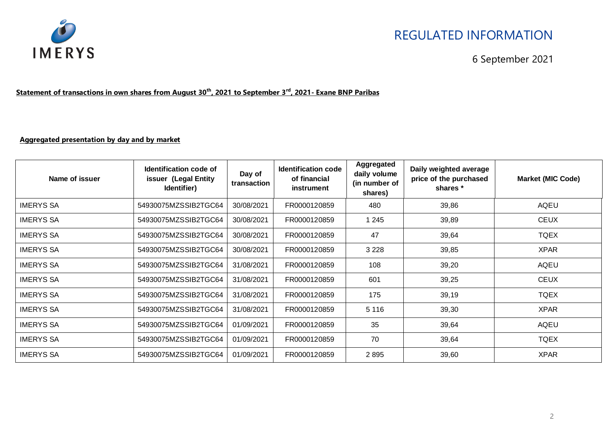

#### 6 September 2021

#### **Statement of transactions in own shares from August 30th, 2021 to September 3rd , 2021- Exane BNP Paribas**

#### **Aggregated presentation by day and by market**

| Name of issuer   | Identification code of<br>issuer (Legal Entity<br>Identifier) | Day of<br>transaction | <b>Identification code</b><br>of financial<br>instrument | Aggregated<br>daily volume<br>(in number of<br>shares) | Daily weighted average<br>price of the purchased<br>shares * | <b>Market (MIC Code)</b> |
|------------------|---------------------------------------------------------------|-----------------------|----------------------------------------------------------|--------------------------------------------------------|--------------------------------------------------------------|--------------------------|
| <b>IMERYS SA</b> | 54930075MZSSIB2TGC64                                          | 30/08/2021            | FR0000120859                                             | 480                                                    | 39,86                                                        | AQEU                     |
| <b>IMERYS SA</b> | 54930075MZSSIB2TGC64                                          | 30/08/2021            | FR0000120859                                             | 1 2 4 5                                                | 39,89                                                        | <b>CEUX</b>              |
| <b>IMERYS SA</b> | 54930075MZSSIB2TGC64                                          | 30/08/2021            | FR0000120859                                             | 47                                                     | 39,64                                                        | <b>TQEX</b>              |
| <b>IMERYS SA</b> | 54930075MZSSIB2TGC64                                          | 30/08/2021            | FR0000120859                                             | 3 2 2 8                                                | 39,85                                                        | <b>XPAR</b>              |
| <b>IMERYS SA</b> | 54930075MZSSIB2TGC64                                          | 31/08/2021            | FR0000120859                                             | 108                                                    | 39,20                                                        | <b>AQEU</b>              |
| <b>IMERYS SA</b> | 54930075MZSSIB2TGC64                                          | 31/08/2021            | FR0000120859                                             | 601                                                    | 39,25                                                        | <b>CEUX</b>              |
| <b>IMERYS SA</b> | 54930075MZSSIB2TGC64                                          | 31/08/2021            | FR0000120859                                             | 175                                                    | 39,19                                                        | <b>TQEX</b>              |
| <b>IMERYS SA</b> | 54930075MZSSIB2TGC64                                          | 31/08/2021            | FR0000120859                                             | 5 1 1 6                                                | 39,30                                                        | <b>XPAR</b>              |
| <b>IMERYS SA</b> | 54930075MZSSIB2TGC64                                          | 01/09/2021            | FR0000120859                                             | 35                                                     | 39,64                                                        | AQEU                     |
| <b>IMERYS SA</b> | 54930075MZSSIB2TGC64                                          | 01/09/2021            | FR0000120859                                             | 70                                                     | 39,64                                                        | <b>TQEX</b>              |
| <b>IMERYS SA</b> | 54930075MZSSIB2TGC64                                          | 01/09/2021            | FR0000120859                                             | 2895                                                   | 39,60                                                        | <b>XPAR</b>              |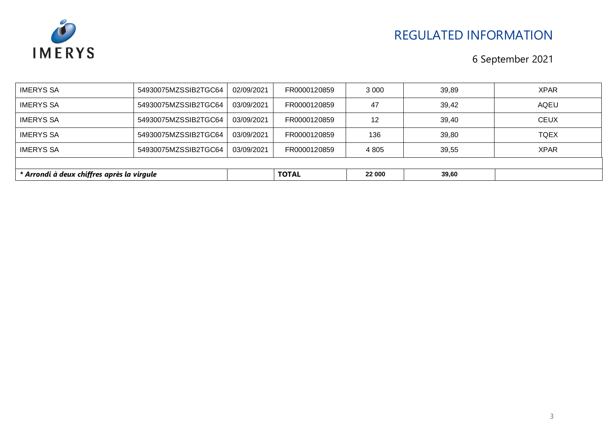

| <b>IMERYS SA</b>                           | 54930075MZSSIB2TGC64 | 03/09/2021 | FR0000120859 | 12      | 39,40 | <b>CEUX</b> |
|--------------------------------------------|----------------------|------------|--------------|---------|-------|-------------|
| <b>IMERYS SA</b>                           | 54930075MZSSIB2TGC64 | 03/09/2021 | FR0000120859 | 136     | 39,80 | <b>TQEX</b> |
| <b>IMERYS SA</b>                           | 54930075MZSSIB2TGC64 | 03/09/2021 | FR0000120859 | 4 8 0 5 | 39,55 | <b>XPAR</b> |
|                                            |                      |            |              |         |       |             |
| * Arrondi à deux chiffres après la virgule |                      |            | <b>TOTAL</b> | 22 000  | 39,60 |             |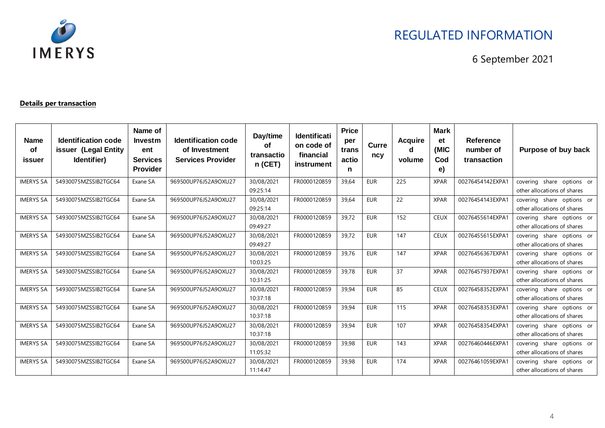

6 September 2021

#### **Details per transaction**

| <b>Name</b><br>of<br>issuer | <b>Identification code</b><br>issuer (Legal Entity<br>Identifier) | Name of<br><b>Investm</b><br>ent<br><b>Services</b><br><b>Provider</b> | Identification code<br>of Investment<br><b>Services Provider</b> | Day/time<br><b>of</b><br>transactio<br>$n$ (CET) | <b>Identificati</b><br>on code of<br>financial<br>instrument | <b>Price</b><br>per<br>trans<br>actio<br>n | <b>Curre</b><br>ncy | <b>Acquire</b><br>d<br>volume | <b>Mark</b><br>et<br>(MIC<br>Cod<br>e) | <b>Reference</b><br>number of<br>transaction | Purpose of buy back                                      |
|-----------------------------|-------------------------------------------------------------------|------------------------------------------------------------------------|------------------------------------------------------------------|--------------------------------------------------|--------------------------------------------------------------|--------------------------------------------|---------------------|-------------------------------|----------------------------------------|----------------------------------------------|----------------------------------------------------------|
| <b>IMERYS SA</b>            | 54930075MZSSIB2TGC64                                              | Exane SA                                                               | 969500UP76J52A9OXU27                                             | 30/08/2021<br>09:25:14                           | FR0000120859                                                 | 39,64                                      | <b>EUR</b>          | 225                           | <b>XPAR</b>                            | 00276454142EXPA1                             | covering share options or<br>other allocations of shares |
| <b>IMERYS SA</b>            | 54930075MZSSIB2TGC64                                              | Exane SA                                                               | 969500UP76J52A9OXU27                                             | 30/08/2021<br>09:25:14                           | FR0000120859                                                 | 39,64                                      | <b>EUR</b>          | 22                            | <b>XPAR</b>                            | 00276454143EXPA1                             | covering share options or<br>other allocations of shares |
| <b>IMERYS SA</b>            | 54930075MZSSIB2TGC64                                              | Exane SA                                                               | 969500UP76J52A9OXU27                                             | 30/08/2021<br>09:49:27                           | FR0000120859                                                 | 39,72                                      | <b>EUR</b>          | 152                           | <b>CEUX</b>                            | 00276455614EXPA1                             | covering share options or<br>other allocations of shares |
| <b>IMERYS SA</b>            | 54930075MZSSIB2TGC64                                              | Exane SA                                                               | 969500UP76J52A9OXU27                                             | 30/08/2021<br>09:49:27                           | FR0000120859                                                 | 39.72                                      | <b>EUR</b>          | 147                           | <b>CEUX</b>                            | 00276455615EXPA1                             | covering share options or<br>other allocations of shares |
| <b>IMERYS SA</b>            | 54930075MZSSIB2TGC64                                              | Exane SA                                                               | 969500UP76J52A9OXU27                                             | 30/08/2021<br>10:03:25                           | FR0000120859                                                 | 39.76                                      | <b>EUR</b>          | 147                           | <b>XPAR</b>                            | 00276456367EXPA1                             | covering share options or<br>other allocations of shares |
| <b>IMERYS SA</b>            | 54930075MZSSIB2TGC64                                              | Exane SA                                                               | 969500UP76J52A9OXU27                                             | 30/08/2021<br>10:31:25                           | FR0000120859                                                 | 39,78                                      | <b>EUR</b>          | 37                            | <b>XPAR</b>                            | 00276457937EXPA1                             | covering share options or<br>other allocations of shares |
| <b>IMERYS SA</b>            | 54930075MZSSIB2TGC64                                              | Exane SA                                                               | 969500UP76J52A9OXU27                                             | 30/08/2021<br>10:37:18                           | FR0000120859                                                 | 39,94                                      | <b>EUR</b>          | 85                            | <b>CEUX</b>                            | 00276458352EXPA1                             | covering share options or<br>other allocations of shares |
| <b>IMERYS SA</b>            | 54930075MZSSIB2TGC64                                              | Exane SA                                                               | 969500UP76J52A9OXU27                                             | 30/08/2021<br>10:37:18                           | FR0000120859                                                 | 39,94                                      | <b>EUR</b>          | 115                           | <b>XPAR</b>                            | 00276458353EXPA1                             | covering share options or<br>other allocations of shares |
| <b>IMERYS SA</b>            | 54930075MZSSIB2TGC64                                              | Exane SA                                                               | 969500UP76J52A9OXU27                                             | 30/08/2021<br>10:37:18                           | FR0000120859                                                 | 39,94                                      | <b>EUR</b>          | 107                           | <b>XPAR</b>                            | 00276458354EXPA1                             | covering share options or<br>other allocations of shares |
| <b>IMERYS SA</b>            | 54930075MZSSIB2TGC64                                              | Exane SA                                                               | 969500UP76J52A9OXU27                                             | 30/08/2021<br>11:05:32                           | FR0000120859                                                 | 39,98                                      | <b>EUR</b>          | 143                           | <b>XPAR</b>                            | 00276460446EXPA1                             | covering share options or<br>other allocations of shares |
| <b>IMERYS SA</b>            | 54930075MZSSIB2TGC64                                              | Exane SA                                                               | 969500UP76J52A9OXU27                                             | 30/08/2021<br>11:14:47                           | FR0000120859                                                 | 39,98                                      | <b>EUR</b>          | 174                           | <b>XPAR</b>                            | 00276461059EXPA1                             | covering share options or<br>other allocations of shares |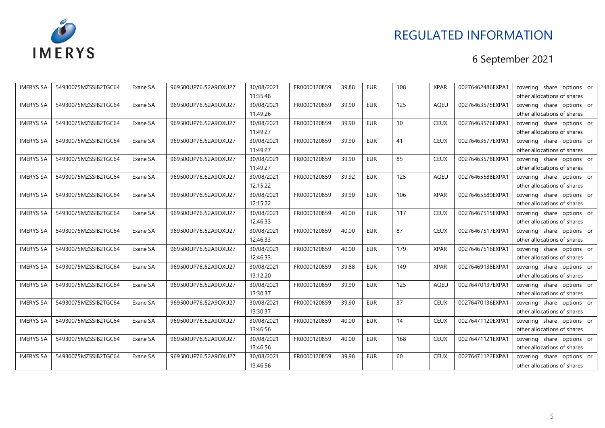

| <b>IMERYS SA</b> | 54930075MZSSIB2TGC64 | Exane SA | 969500UP76J52A9OXU27 | 30/08/2021 | FR0000120859 | 39,88 | <b>EUR</b> | 108 | <b>XPAR</b> | 00276462486EXPA1 | covering share options or   |
|------------------|----------------------|----------|----------------------|------------|--------------|-------|------------|-----|-------------|------------------|-----------------------------|
|                  |                      |          |                      | 11:35:48   |              |       |            |     |             |                  | other allocations of shares |
| <b>IMERYS SA</b> | 54930075MZSSIB2TGC64 | Exane SA | 969500UP76J52A9OXU27 | 30/08/2021 | FR0000120859 | 39,90 | <b>EUR</b> | 125 | <b>AQEU</b> | 00276463575EXPA1 | covering share options or   |
|                  |                      |          |                      | 11:49:26   |              |       |            |     |             |                  | other allocations of shares |
| <b>IMERYS SA</b> | 54930075MZSSIB2TGC64 | Exane SA | 969500UP76J52A9OXU27 | 30/08/2021 | FR0000120859 | 39,90 | EUR        | 10  | <b>CEUX</b> | 00276463576EXPA1 | covering share options or   |
|                  |                      |          |                      | 11:49:27   |              |       |            |     |             |                  | other allocations of shares |
| <b>IMERYS SA</b> | 54930075MZSSIB2TGC64 | Exane SA | 969500UP76J52A9OXU27 | 30/08/2021 | FR0000120859 | 39,90 | <b>EUR</b> | 41  | <b>CEUX</b> | 00276463577EXPA1 | covering share options or   |
|                  |                      |          |                      | 11:49:27   |              |       |            |     |             |                  | other allocations of shares |
| <b>IMERYS SA</b> | 54930075MZSSIB2TGC64 | Exane SA | 969500UP76J52A9OXU27 | 30/08/2021 | FR0000120859 | 39,90 | <b>EUR</b> | 85  | <b>CEUX</b> | 00276463578EXPA1 | covering share options or   |
|                  |                      |          |                      | 11:49:27   |              |       |            |     |             |                  | other allocations of shares |
| <b>IMERYS SA</b> | 54930075MZSSIB2TGC64 | Exane SA | 969500UP76J52A9OXU27 | 30/08/2021 | FR0000120859 | 39,92 | EUR        | 125 | <b>AQEU</b> | 00276465588EXPA1 | covering share options or   |
|                  |                      |          |                      | 12:15:22   |              |       |            |     |             |                  | other allocations of shares |
| <b>IMERYS SA</b> | 54930075MZSSIB2TGC64 | Exane SA | 969500UP76J52A9OXU27 | 30/08/2021 | FR0000120859 | 39,90 | <b>EUR</b> | 106 | <b>XPAR</b> | 00276465589EXPA1 | covering share options or   |
|                  |                      |          |                      | 12:15:22   |              |       |            |     |             |                  | other allocations of shares |
| <b>IMERYS SA</b> | 54930075MZSSIB2TGC64 | Exane SA | 969500UP76J52A9OXU27 | 30/08/2021 | FR0000120859 | 40,00 | <b>EUR</b> | 117 | <b>CEUX</b> | 00276467515EXPA1 | covering share options or   |
|                  |                      |          |                      | 12:46:33   |              |       |            |     |             |                  | other allocations of shares |
| <b>IMERYS SA</b> | 54930075MZSSIB2TGC64 | Exane SA | 969500UP76J52A9OXU27 | 30/08/2021 | FR0000120859 | 40,00 | <b>EUR</b> | 87  | <b>CEUX</b> | 00276467517EXPA1 | covering share options or   |
|                  |                      |          |                      | 12:46:33   |              |       |            |     |             |                  | other allocations of shares |
| <b>IMERYS SA</b> | 54930075MZSSIB2TGC64 | Exane SA | 969500UP76J52A9OXU27 | 30/08/2021 | FR0000120859 | 40,00 | <b>EUR</b> | 179 | <b>XPAR</b> | 00276467516EXPA1 | covering share options or   |
|                  |                      |          |                      | 12:46:33   |              |       |            |     |             |                  | other allocations of shares |
| <b>IMERYS SA</b> | 54930075MZSSIB2TGC64 | Exane SA | 969500UP76J52A9OXU27 | 30/08/2021 | FR0000120859 | 39,88 | <b>EUR</b> | 149 | <b>XPAR</b> | 00276469138EXPA1 | covering share options or   |
|                  |                      |          |                      | 13:12:20   |              |       |            |     |             |                  | other allocations of shares |
| <b>IMERYS SA</b> | 54930075MZSSIB2TGC64 | Exane SA | 969500UP76J52A9OXU27 | 30/08/2021 | FR0000120859 | 39,90 | EUR        | 125 | <b>AQEU</b> | 00276470137EXPA1 | covering share options or   |
|                  |                      |          |                      | 13:30:37   |              |       |            |     |             |                  | other allocations of shares |
| <b>IMERYS SA</b> | 54930075MZSSIB2TGC64 | Exane SA | 969500UP76J52A9OXU27 | 30/08/2021 | FR0000120859 | 39,90 | <b>EUR</b> | 37  | <b>CEUX</b> | 00276470136EXPA1 | covering share options or   |
|                  |                      |          |                      | 13:30:37   |              |       |            |     |             |                  | other allocations of shares |
| <b>IMERYS SA</b> | 54930075MZSSIB2TGC64 | Exane SA | 969500UP76J52A9OXU27 | 30/08/2021 | FR0000120859 | 40,00 | <b>EUR</b> | 14  | <b>CEUX</b> | 00276471120EXPA1 | covering share options or   |
|                  |                      |          |                      | 13:46:56   |              |       |            |     |             |                  | other allocations of shares |
| <b>IMERYS SA</b> | 54930075MZSSIB2TGC64 | Exane SA | 969500UP76J52A9OXU27 | 30/08/2021 | FR0000120859 | 40,00 | <b>EUR</b> | 168 | <b>CEUX</b> | 00276471121EXPA1 | covering share options or   |
|                  |                      |          |                      | 13:46:56   |              |       |            |     |             |                  | other allocations of shares |
| <b>IMERYS SA</b> | 54930075MZSSIB2TGC64 | Exane SA | 969500UP76J52A9OXU27 | 30/08/2021 | FR0000120859 | 39,98 | <b>EUR</b> | 60  | <b>CEUX</b> | 00276471122EXPA1 | covering share options or   |
|                  |                      |          |                      | 13:46:56   |              |       |            |     |             |                  | other allocations of shares |
|                  |                      |          |                      |            |              |       |            |     |             |                  |                             |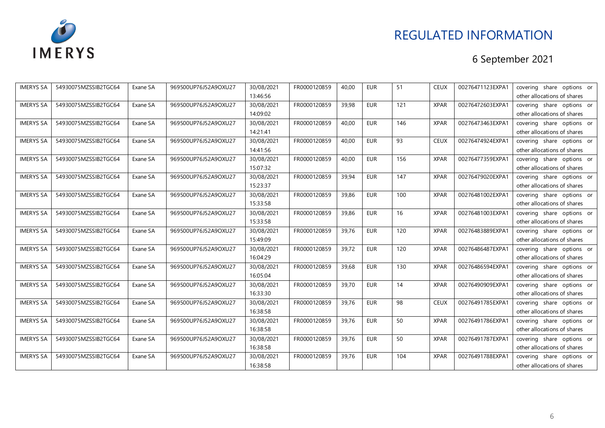

| <b>IMERYS SA</b> | 54930075MZSSIB2TGC64 | Exane SA | 969500UP76J52A9OXU27 | 30/08/2021 | FR0000120859 | 40,00 | <b>EUR</b> | 51  | <b>CEUX</b> | 00276471123EXPA1 | covering share options or   |
|------------------|----------------------|----------|----------------------|------------|--------------|-------|------------|-----|-------------|------------------|-----------------------------|
|                  |                      |          |                      | 13:46:56   |              |       |            |     |             |                  | other allocations of shares |
| <b>IMERYS SA</b> | 54930075MZSSIB2TGC64 | Exane SA | 969500UP76J52A9OXU27 | 30/08/2021 | FR0000120859 | 39,98 | <b>EUR</b> | 121 | <b>XPAR</b> | 00276472603EXPA1 | covering share options or   |
|                  |                      |          |                      | 14:09:02   |              |       |            |     |             |                  | other allocations of shares |
| <b>IMERYS SA</b> | 54930075MZSSIB2TGC64 | Exane SA | 969500UP76J52A9OXU27 | 30/08/2021 | FR0000120859 | 40,00 | EUR        | 146 | <b>XPAR</b> | 00276473463EXPA1 | covering share options or   |
|                  |                      |          |                      | 14:21:41   |              |       |            |     |             |                  | other allocations of shares |
| <b>IMERYS SA</b> | 54930075MZSSIB2TGC64 | Exane SA | 969500UP76J52A9OXU27 | 30/08/2021 | FR0000120859 | 40,00 | <b>EUR</b> | 93  | <b>CEUX</b> | 00276474924EXPA1 | covering share options or   |
|                  |                      |          |                      | 14:41:56   |              |       |            |     |             |                  | other allocations of shares |
| <b>IMERYS SA</b> | 54930075MZSSIB2TGC64 | Exane SA | 969500UP76J52A9OXU27 | 30/08/2021 | FR0000120859 | 40,00 | <b>EUR</b> | 156 | <b>XPAR</b> | 00276477359EXPA1 | covering share options or   |
|                  |                      |          |                      | 15:07:32   |              |       |            |     |             |                  | other allocations of shares |
| <b>IMERYS SA</b> | 54930075MZSSIB2TGC64 | Exane SA | 969500UP76J52A9OXU27 | 30/08/2021 | FR0000120859 | 39,94 | <b>EUR</b> | 147 | <b>XPAR</b> | 00276479020EXPA1 | covering share options or   |
|                  |                      |          |                      | 15:23:37   |              |       |            |     |             |                  | other allocations of shares |
| <b>IMERYS SA</b> | 54930075MZSSIB2TGC64 | Exane SA | 969500UP76J52A9OXU27 | 30/08/2021 | FR0000120859 | 39,86 | <b>EUR</b> | 100 | <b>XPAR</b> | 00276481002EXPA1 | covering share options or   |
|                  |                      |          |                      | 15:33:58   |              |       |            |     |             |                  | other allocations of shares |
| <b>IMERYS SA</b> | 54930075MZSSIB2TGC64 | Exane SA | 969500UP76J52A9OXU27 | 30/08/2021 | FR0000120859 | 39,86 | <b>EUR</b> | 16  | <b>XPAR</b> | 00276481003EXPA1 | covering share options or   |
|                  |                      |          |                      | 15:33:58   |              |       |            |     |             |                  | other allocations of shares |
| <b>IMERYS SA</b> | 54930075MZSSIB2TGC64 | Exane SA | 969500UP76J52A9OXU27 | 30/08/2021 | FR0000120859 | 39,76 | <b>EUR</b> | 120 | <b>XPAR</b> | 00276483889EXPA1 | covering share options or   |
|                  |                      |          |                      | 15:49:09   |              |       |            |     |             |                  | other allocations of shares |
| <b>IMERYS SA</b> | 54930075MZSSIB2TGC64 | Exane SA | 969500UP76J52A9OXU27 | 30/08/2021 | FR0000120859 | 39,72 | <b>EUR</b> | 120 | <b>XPAR</b> | 00276486487EXPA1 | covering share options or   |
|                  |                      |          |                      | 16:04:29   |              |       |            |     |             |                  | other allocations of shares |
| <b>IMERYS SA</b> | 54930075MZSSIB2TGC64 | Exane SA | 969500UP76J52A9OXU27 | 30/08/2021 | FR0000120859 | 39,68 | <b>EUR</b> | 130 | <b>XPAR</b> | 00276486594EXPA1 | covering share options or   |
|                  |                      |          |                      | 16:05:04   |              |       |            |     |             |                  | other allocations of shares |
| <b>IMERYS SA</b> | 54930075MZSSIB2TGC64 | Exane SA | 969500UP76J52A9OXU27 | 30/08/2021 | FR0000120859 | 39,70 | EUR        | 14  | <b>XPAR</b> | 00276490909EXPA1 | covering share options or   |
|                  |                      |          |                      | 16:33:30   |              |       |            |     |             |                  | other allocations of shares |
| <b>IMERYS SA</b> | 54930075MZSSIB2TGC64 | Exane SA | 969500UP76J52A9OXU27 | 30/08/2021 | FR0000120859 | 39,76 | <b>EUR</b> | 98  | <b>CEUX</b> | 00276491785EXPA1 | covering share options or   |
|                  |                      |          |                      | 16:38:58   |              |       |            |     |             |                  | other allocations of shares |
| <b>IMERYS SA</b> | 54930075MZSSIB2TGC64 | Exane SA | 969500UP76J52A9OXU27 | 30/08/2021 | FR0000120859 | 39,76 | <b>EUR</b> | 50  | <b>XPAR</b> | 00276491786EXPA1 | covering share options or   |
|                  |                      |          |                      | 16:38:58   |              |       |            |     |             |                  | other allocations of shares |
| <b>IMERYS SA</b> | 54930075MZSSIB2TGC64 | Exane SA | 969500UP76J52A9OXU27 | 30/08/2021 | FR0000120859 | 39,76 | <b>EUR</b> | 50  | <b>XPAR</b> | 00276491787EXPA1 | covering share options or   |
|                  |                      |          |                      | 16:38:58   |              |       |            |     |             |                  | other allocations of shares |
| <b>IMERYS SA</b> | 54930075MZSSIB2TGC64 | Exane SA | 969500UP76J52A9OXU27 | 30/08/2021 | FR0000120859 | 39,76 | <b>EUR</b> | 104 | <b>XPAR</b> | 00276491788EXPA1 | covering share options or   |
|                  |                      |          |                      | 16:38:58   |              |       |            |     |             |                  | other allocations of shares |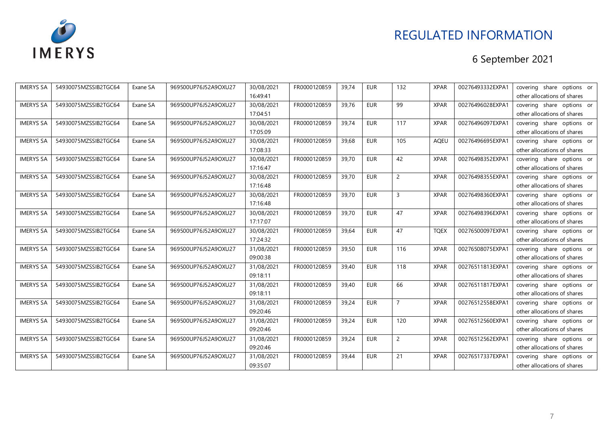

| <b>IMERYS SA</b> | 54930075MZSSIB2TGC64 | Exane SA | 969500UP76J52A9OXU27 | 30/08/2021 | FR0000120859 | 39,74 | <b>EUR</b> | 132            | <b>XPAR</b> | 00276493332EXPA1 | covering share options or   |
|------------------|----------------------|----------|----------------------|------------|--------------|-------|------------|----------------|-------------|------------------|-----------------------------|
|                  |                      |          |                      | 16:49:41   |              |       |            |                |             |                  | other allocations of shares |
| <b>IMERYS SA</b> | 54930075MZSSIB2TGC64 | Exane SA | 969500UP76J52A9OXU27 | 30/08/2021 | FR0000120859 | 39,76 | <b>EUR</b> | 99             | <b>XPAR</b> | 00276496028EXPA1 | covering share options or   |
|                  |                      |          |                      | 17:04:51   |              |       |            |                |             |                  | other allocations of shares |
| <b>IMERYS SA</b> | 54930075MZSSIB2TGC64 | Exane SA | 969500UP76J52A9OXU27 | 30/08/2021 | FR0000120859 | 39,74 | <b>EUR</b> | 117            | <b>XPAR</b> | 00276496097EXPA1 | covering share options or   |
|                  |                      |          |                      | 17:05:09   |              |       |            |                |             |                  | other allocations of shares |
| <b>IMERYS SA</b> | 54930075MZSSIB2TGC64 | Exane SA | 969500UP76J52A9OXU27 | 30/08/2021 | FR0000120859 | 39,68 | <b>EUR</b> | 105            | <b>AQEU</b> | 00276496695EXPA1 | covering share options or   |
|                  |                      |          |                      | 17:08:33   |              |       |            |                |             |                  | other allocations of shares |
| <b>IMERYS SA</b> | 54930075MZSSIB2TGC64 | Exane SA | 969500UP76J52A9OXU27 | 30/08/2021 | FR0000120859 | 39,70 | <b>EUR</b> | 42             | <b>XPAR</b> | 00276498352EXPA1 | covering share options or   |
|                  |                      |          |                      | 17:16:47   |              |       |            |                |             |                  | other allocations of shares |
| <b>IMERYS SA</b> | 54930075MZSSIB2TGC64 | Exane SA | 969500UP76J52A9OXU27 | 30/08/2021 | FR0000120859 | 39,70 | <b>EUR</b> | $\overline{2}$ | <b>XPAR</b> | 00276498355EXPA1 | covering share options or   |
|                  |                      |          |                      | 17:16:48   |              |       |            |                |             |                  | other allocations of shares |
| <b>IMERYS SA</b> | 54930075MZSSIB2TGC64 | Exane SA | 969500UP76J52A9OXU27 | 30/08/2021 | FR0000120859 | 39,70 | <b>EUR</b> | 3              | <b>XPAR</b> | 00276498360EXPA1 | covering share options or   |
|                  |                      |          |                      | 17:16:48   |              |       |            |                |             |                  | other allocations of shares |
| <b>IMERYS SA</b> | 54930075MZSSIB2TGC64 | Exane SA | 969500UP76J52A9OXU27 | 30/08/2021 | FR0000120859 | 39,70 | <b>EUR</b> | 47             | <b>XPAR</b> | 00276498396EXPA1 | covering share options or   |
|                  |                      |          |                      | 17:17:07   |              |       |            |                |             |                  | other allocations of shares |
| <b>IMERYS SA</b> | 54930075MZSSIB2TGC64 | Exane SA | 969500UP76J52A9OXU27 | 30/08/2021 | FR0000120859 | 39,64 | <b>EUR</b> | 47             | <b>TQEX</b> | 00276500097EXPA1 | covering share options or   |
|                  |                      |          |                      | 17:24:32   |              |       |            |                |             |                  | other allocations of shares |
| <b>IMERYS SA</b> | 54930075MZSSIB2TGC64 | Exane SA | 969500UP76J52A9OXU27 | 31/08/2021 | FR0000120859 | 39,50 | <b>EUR</b> | 116            | <b>XPAR</b> | 00276508075EXPA1 | covering share options or   |
|                  |                      |          |                      | 09:00:38   |              |       |            |                |             |                  | other allocations of shares |
| <b>IMERYS SA</b> | 54930075MZSSIB2TGC64 | Exane SA | 969500UP76J52A9OXU27 | 31/08/2021 | FR0000120859 | 39,40 | <b>EUR</b> | 118            | <b>XPAR</b> | 00276511813EXPA1 | covering share options or   |
|                  |                      |          |                      | 09:18:11   |              |       |            |                |             |                  | other allocations of shares |
| <b>IMERYS SA</b> | 54930075MZSSIB2TGC64 | Exane SA | 969500UP76J52A9OXU27 | 31/08/2021 | FR0000120859 | 39,40 | <b>EUR</b> | 66             | <b>XPAR</b> | 00276511817EXPA1 | covering share options or   |
|                  |                      |          |                      | 09:18:11   |              |       |            |                |             |                  | other allocations of shares |
| <b>IMERYS SA</b> | 54930075MZSSIB2TGC64 | Exane SA | 969500UP76J52A9OXU27 | 31/08/2021 | FR0000120859 | 39,24 | <b>EUR</b> | 7              | <b>XPAR</b> | 00276512558EXPA1 | covering share options or   |
|                  |                      |          |                      | 09:20:46   |              |       |            |                |             |                  | other allocations of shares |
| <b>IMERYS SA</b> | 54930075MZSSIB2TGC64 | Exane SA | 969500UP76J52A9OXU27 | 31/08/2021 | FR0000120859 | 39,24 | <b>EUR</b> | 120            | <b>XPAR</b> | 00276512560EXPA1 | covering share options or   |
|                  |                      |          |                      | 09:20:46   |              |       |            |                |             |                  | other allocations of shares |
| <b>IMERYS SA</b> | 54930075MZSSIB2TGC64 | Exane SA | 969500UP76J52A9OXU27 | 31/08/2021 | FR0000120859 | 39,24 | <b>EUR</b> | $\overline{2}$ | <b>XPAR</b> | 00276512562EXPA1 | covering share options or   |
|                  |                      |          |                      | 09:20:46   |              |       |            |                |             |                  | other allocations of shares |
| <b>IMERYS SA</b> | 54930075MZSSIB2TGC64 | Exane SA | 969500UP76J52A9OXU27 | 31/08/2021 | FR0000120859 | 39,44 | <b>EUR</b> | 21             | <b>XPAR</b> | 00276517337EXPA1 | covering share options or   |
|                  |                      |          |                      | 09:35:07   |              |       |            |                |             |                  | other allocations of shares |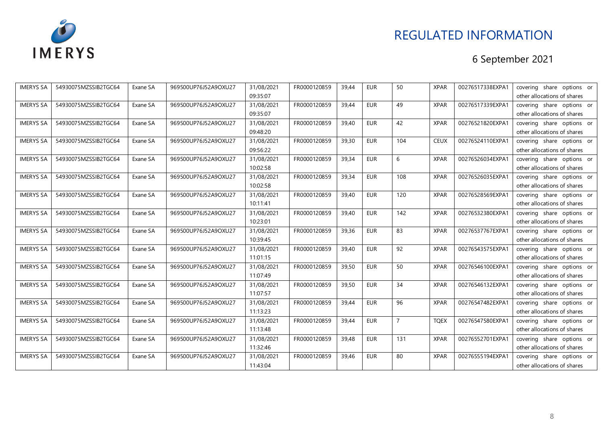

| <b>IMERYS SA</b> | 54930075MZSSIB2TGC64 | Exane SA | 969500UP76J52A9OXU27 | 31/08/2021 | FR0000120859 | 39,44 | <b>EUR</b> | 50             | <b>XPAR</b> | 00276517338EXPA1 | covering share options or   |
|------------------|----------------------|----------|----------------------|------------|--------------|-------|------------|----------------|-------------|------------------|-----------------------------|
|                  |                      |          |                      | 09:35:07   |              |       |            |                |             |                  | other allocations of shares |
| <b>IMERYS SA</b> | 54930075MZSSIB2TGC64 | Exane SA | 969500UP76J52A9OXU27 | 31/08/2021 | FR0000120859 | 39,44 | <b>EUR</b> | 49             | <b>XPAR</b> | 00276517339EXPA1 | covering share options or   |
|                  |                      |          |                      | 09:35:07   |              |       |            |                |             |                  | other allocations of shares |
| <b>IMERYS SA</b> | 54930075MZSSIB2TGC64 | Exane SA | 969500UP76J52A9OXU27 | 31/08/2021 | FR0000120859 | 39,40 | EUR        | 42             | <b>XPAR</b> | 00276521820EXPA1 | covering share options or   |
|                  |                      |          |                      | 09:48:20   |              |       |            |                |             |                  | other allocations of shares |
| <b>IMERYS SA</b> | 54930075MZSSIB2TGC64 | Exane SA | 969500UP76J52A9OXU27 | 31/08/2021 | FR0000120859 | 39,30 | <b>EUR</b> | 104            | <b>CEUX</b> | 00276524110EXPA1 | covering share options or   |
|                  |                      |          |                      | 09:56:22   |              |       |            |                |             |                  | other allocations of shares |
| <b>IMERYS SA</b> | 54930075MZSSIB2TGC64 | Exane SA | 969500UP76J52A9OXU27 | 31/08/2021 | FR0000120859 | 39,34 | <b>EUR</b> | 6              | <b>XPAR</b> | 00276526034EXPA1 | covering share options or   |
|                  |                      |          |                      | 10:02:58   |              |       |            |                |             |                  | other allocations of shares |
| <b>IMERYS SA</b> | 54930075MZSSIB2TGC64 | Exane SA | 969500UP76J52A9OXU27 | 31/08/2021 | FR0000120859 | 39,34 | <b>EUR</b> | 108            | <b>XPAR</b> | 00276526035EXPA1 | covering share options or   |
|                  |                      |          |                      | 10:02:58   |              |       |            |                |             |                  | other allocations of shares |
| <b>IMERYS SA</b> | 54930075MZSSIB2TGC64 | Exane SA | 969500UP76J52A9OXU27 | 31/08/2021 | FR0000120859 | 39,40 | <b>EUR</b> | 120            | <b>XPAR</b> | 00276528569EXPA1 | covering share options or   |
|                  |                      |          |                      | 10:11:41   |              |       |            |                |             |                  | other allocations of shares |
| <b>IMERYS SA</b> | 54930075MZSSIB2TGC64 | Exane SA | 969500UP76J52A9OXU27 | 31/08/2021 | FR0000120859 | 39,40 | <b>EUR</b> | 142            | <b>XPAR</b> | 00276532380EXPA1 | covering share options or   |
|                  |                      |          |                      | 10:23:01   |              |       |            |                |             |                  | other allocations of shares |
| <b>IMERYS SA</b> | 54930075MZSSIB2TGC64 | Exane SA | 969500UP76J52A9OXU27 | 31/08/2021 | FR0000120859 | 39,36 | <b>EUR</b> | 83             | <b>XPAR</b> | 00276537767EXPA1 | covering share options or   |
|                  |                      |          |                      | 10:39:45   |              |       |            |                |             |                  | other allocations of shares |
| <b>IMERYS SA</b> | 54930075MZSSIB2TGC64 | Exane SA | 969500UP76J52A9OXU27 | 31/08/2021 | FR0000120859 | 39,40 | <b>EUR</b> | 92             | <b>XPAR</b> | 00276543575EXPA1 | covering share options or   |
|                  |                      |          |                      | 11:01:15   |              |       |            |                |             |                  | other allocations of shares |
| <b>IMERYS SA</b> | 54930075MZSSIB2TGC64 | Exane SA | 969500UP76J52A9OXU27 | 31/08/2021 | FR0000120859 | 39,50 | <b>EUR</b> | 50             | <b>XPAR</b> | 00276546100EXPA1 | covering share options or   |
|                  |                      |          |                      | 11:07:49   |              |       |            |                |             |                  | other allocations of shares |
| <b>IMERYS SA</b> | 54930075MZSSIB2TGC64 | Exane SA | 969500UP76J52A9OXU27 | 31/08/2021 | FR0000120859 | 39,50 | EUR        | 34             | <b>XPAR</b> | 00276546132EXPA1 | covering share options or   |
|                  |                      |          |                      | 11:07:57   |              |       |            |                |             |                  | other allocations of shares |
| <b>IMERYS SA</b> | 54930075MZSSIB2TGC64 | Exane SA | 969500UP76J52A9OXU27 | 31/08/2021 | FR0000120859 | 39,44 | <b>EUR</b> | 96             | <b>XPAR</b> | 00276547482EXPA1 | covering share options or   |
|                  |                      |          |                      | 11:13:23   |              |       |            |                |             |                  | other allocations of shares |
| <b>IMERYS SA</b> | 54930075MZSSIB2TGC64 | Exane SA | 969500UP76J52A9OXU27 | 31/08/2021 | FR0000120859 | 39,44 | <b>EUR</b> | $\overline{7}$ | <b>TQEX</b> | 00276547580EXPA1 | covering share options or   |
|                  |                      |          |                      | 11:13:48   |              |       |            |                |             |                  | other allocations of shares |
| <b>IMERYS SA</b> | 54930075MZSSIB2TGC64 | Exane SA | 969500UP76J52A9OXU27 | 31/08/2021 | FR0000120859 | 39,48 | <b>EUR</b> | 131            | <b>XPAR</b> | 00276552701EXPA1 | covering share options or   |
|                  |                      |          |                      | 11:32:46   |              |       |            |                |             |                  | other allocations of shares |
| <b>IMERYS SA</b> | 54930075MZSSIB2TGC64 | Exane SA | 969500UP76J52A9OXU27 | 31/08/2021 | FR0000120859 | 39,46 | <b>EUR</b> | 80             | <b>XPAR</b> | 00276555194EXPA1 | covering share options or   |
|                  |                      |          |                      | 11:43:04   |              |       |            |                |             |                  | other allocations of shares |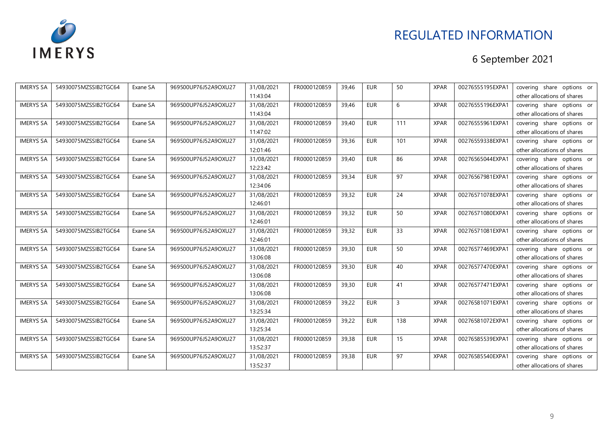

| <b>IMERYS SA</b> | 54930075MZSSIB2TGC64 | Exane SA | 969500UP76J52A9OXU27 | 31/08/2021 | FR0000120859 | 39,46 | <b>EUR</b> | 50  | <b>XPAR</b> | 00276555195EXPA1 | covering share options or   |
|------------------|----------------------|----------|----------------------|------------|--------------|-------|------------|-----|-------------|------------------|-----------------------------|
|                  |                      |          |                      | 11:43:04   |              |       |            |     |             |                  | other allocations of shares |
| <b>IMERYS SA</b> | 54930075MZSSIB2TGC64 | Exane SA | 969500UP76J52A9OXU27 | 31/08/2021 | FR0000120859 | 39,46 | <b>EUR</b> | 6   | <b>XPAR</b> | 00276555196EXPA1 | covering share options or   |
|                  |                      |          |                      | 11:43:04   |              |       |            |     |             |                  | other allocations of shares |
| <b>IMERYS SA</b> | 54930075MZSSIB2TGC64 | Exane SA | 969500UP76J52A9OXU27 | 31/08/2021 | FR0000120859 | 39,40 | EUR        | 111 | <b>XPAR</b> | 00276555961EXPA1 | covering share options or   |
|                  |                      |          |                      | 11:47:02   |              |       |            |     |             |                  | other allocations of shares |
| <b>IMERYS SA</b> | 54930075MZSSIB2TGC64 | Exane SA | 969500UP76J52A9OXU27 | 31/08/2021 | FR0000120859 | 39,36 | <b>EUR</b> | 101 | <b>XPAR</b> | 00276559338EXPA1 | covering share options or   |
|                  |                      |          |                      | 12:01:46   |              |       |            |     |             |                  | other allocations of shares |
| <b>IMERYS SA</b> | 54930075MZSSIB2TGC64 | Exane SA | 969500UP76J52A9OXU27 | 31/08/2021 | FR0000120859 | 39,40 | <b>EUR</b> | 86  | <b>XPAR</b> | 00276565044EXPA1 | covering share options or   |
|                  |                      |          |                      | 12:23:42   |              |       |            |     |             |                  | other allocations of shares |
| <b>IMERYS SA</b> | 54930075MZSSIB2TGC64 | Exane SA | 969500UP76J52A9OXU27 | 31/08/2021 | FR0000120859 | 39,34 | <b>EUR</b> | 97  | <b>XPAR</b> | 00276567981EXPA1 | covering share options or   |
|                  |                      |          |                      | 12:34:06   |              |       |            |     |             |                  | other allocations of shares |
| <b>IMERYS SA</b> | 54930075MZSSIB2TGC64 | Exane SA | 969500UP76J52A9OXU27 | 31/08/2021 | FR0000120859 | 39,32 | <b>EUR</b> | 24  | <b>XPAR</b> | 00276571078EXPA1 | covering share options or   |
|                  |                      |          |                      | 12:46:01   |              |       |            |     |             |                  | other allocations of shares |
| <b>IMERYS SA</b> | 54930075MZSSIB2TGC64 | Exane SA | 969500UP76J52A9OXU27 | 31/08/2021 | FR0000120859 | 39,32 | <b>EUR</b> | 50  | <b>XPAR</b> | 00276571080EXPA1 | covering share options or   |
|                  |                      |          |                      | 12:46:01   |              |       |            |     |             |                  | other allocations of shares |
| <b>IMERYS SA</b> | 54930075MZSSIB2TGC64 | Exane SA | 969500UP76J52A9OXU27 | 31/08/2021 | FR0000120859 | 39,32 | <b>EUR</b> | 33  | <b>XPAR</b> | 00276571081EXPA1 | covering share options or   |
|                  |                      |          |                      | 12:46:01   |              |       |            |     |             |                  | other allocations of shares |
| <b>IMERYS SA</b> | 54930075MZSSIB2TGC64 | Exane SA | 969500UP76J52A9OXU27 | 31/08/2021 | FR0000120859 | 39,30 | <b>EUR</b> | 50  | <b>XPAR</b> | 00276577469EXPA1 | covering share options or   |
|                  |                      |          |                      | 13:06:08   |              |       |            |     |             |                  | other allocations of shares |
| <b>IMERYS SA</b> | 54930075MZSSIB2TGC64 | Exane SA | 969500UP76J52A9OXU27 | 31/08/2021 | FR0000120859 | 39,30 | <b>EUR</b> | 40  | <b>XPAR</b> | 00276577470EXPA1 | covering share options or   |
|                  |                      |          |                      | 13:06:08   |              |       |            |     |             |                  | other allocations of shares |
| <b>IMERYS SA</b> | 54930075MZSSIB2TGC64 | Exane SA | 969500UP76J52A9OXU27 | 31/08/2021 | FR0000120859 | 39,30 | EUR        | 41  | <b>XPAR</b> | 00276577471EXPA1 | covering share options or   |
|                  |                      |          |                      | 13:06:08   |              |       |            |     |             |                  | other allocations of shares |
| <b>IMERYS SA</b> | 54930075MZSSIB2TGC64 | Exane SA | 969500UP76J52A9OXU27 | 31/08/2021 | FR0000120859 | 39,22 | <b>EUR</b> | 3   | <b>XPAR</b> | 00276581071EXPA1 | covering share options or   |
|                  |                      |          |                      | 13:25:34   |              |       |            |     |             |                  | other allocations of shares |
| <b>IMERYS SA</b> | 54930075MZSSIB2TGC64 | Exane SA | 969500UP76J52A9OXU27 | 31/08/2021 | FR0000120859 | 39,22 | <b>EUR</b> | 138 | <b>XPAR</b> | 00276581072EXPA1 | covering share options or   |
|                  |                      |          |                      | 13:25:34   |              |       |            |     |             |                  | other allocations of shares |
| <b>IMERYS SA</b> | 54930075MZSSIB2TGC64 | Exane SA | 969500UP76J52A9OXU27 | 31/08/2021 | FR0000120859 | 39,38 | <b>EUR</b> | 15  | <b>XPAR</b> | 00276585539EXPA1 | covering share options or   |
|                  |                      |          |                      | 13:52:37   |              |       |            |     |             |                  | other allocations of shares |
| <b>IMERYS SA</b> | 54930075MZSSIB2TGC64 | Exane SA | 969500UP76J52A9OXU27 | 31/08/2021 | FR0000120859 | 39,38 | <b>EUR</b> | 97  | <b>XPAR</b> | 00276585540EXPA1 | covering share options or   |
|                  |                      |          |                      | 13:52:37   |              |       |            |     |             |                  | other allocations of shares |
|                  |                      |          |                      |            |              |       |            |     |             |                  |                             |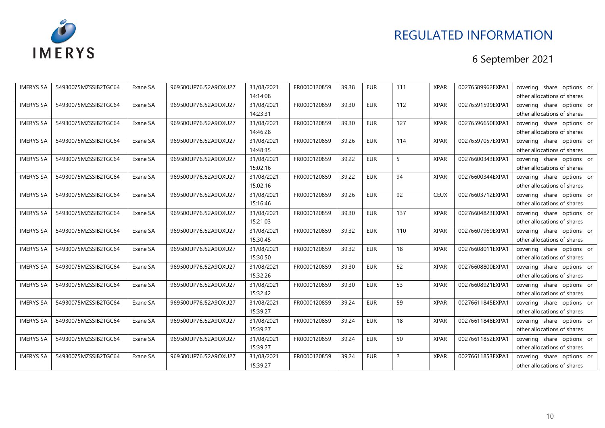

| <b>IMERYS SA</b> | 54930075MZSSIB2TGC64 | Exane SA | 969500UP76J52A9OXU27 | 31/08/2021 | FR0000120859 | 39,38 | <b>EUR</b> | 111            | <b>XPAR</b> | 00276589962EXPA1 | covering share options or   |
|------------------|----------------------|----------|----------------------|------------|--------------|-------|------------|----------------|-------------|------------------|-----------------------------|
|                  |                      |          |                      | 14:14:08   |              |       |            |                |             |                  | other allocations of shares |
| <b>IMERYS SA</b> | 54930075MZSSIB2TGC64 | Exane SA | 969500UP76J52A9OXU27 | 31/08/2021 | FR0000120859 | 39,30 | <b>EUR</b> | 112            | <b>XPAR</b> | 00276591599EXPA1 | covering share options or   |
|                  |                      |          |                      | 14:23:31   |              |       |            |                |             |                  | other allocations of shares |
| <b>IMERYS SA</b> | 54930075MZSSIB2TGC64 | Exane SA | 969500UP76J52A9OXU27 | 31/08/2021 | FR0000120859 | 39,30 | <b>EUR</b> | 127            | <b>XPAR</b> | 00276596650EXPA1 | covering share options or   |
|                  |                      |          |                      | 14:46:28   |              |       |            |                |             |                  | other allocations of shares |
| <b>IMERYS SA</b> | 54930075MZSSIB2TGC64 | Exane SA | 969500UP76J52A9OXU27 | 31/08/2021 | FR0000120859 | 39,26 | <b>EUR</b> | 114            | <b>XPAR</b> | 00276597057EXPA1 | covering share options or   |
|                  |                      |          |                      | 14:48:35   |              |       |            |                |             |                  | other allocations of shares |
| <b>IMERYS SA</b> | 54930075MZSSIB2TGC64 | Exane SA | 969500UP76J52A9OXU27 | 31/08/2021 | FR0000120859 | 39,22 | <b>EUR</b> | 5              | <b>XPAR</b> | 00276600343EXPA1 | covering share options or   |
|                  |                      |          |                      | 15:02:16   |              |       |            |                |             |                  | other allocations of shares |
| <b>IMERYS SA</b> | 54930075MZSSIB2TGC64 | Exane SA | 969500UP76J52A9OXU27 | 31/08/2021 | FR0000120859 | 39,22 | EUR        | 94             | <b>XPAR</b> | 00276600344EXPA1 | covering share options or   |
|                  |                      |          |                      | 15:02:16   |              |       |            |                |             |                  | other allocations of shares |
| <b>IMERYS SA</b> | 54930075MZSSIB2TGC64 | Exane SA | 969500UP76J52A9OXU27 | 31/08/2021 | FR0000120859 | 39,26 | <b>EUR</b> | 92             | <b>CEUX</b> | 00276603712EXPA1 | covering share options or   |
|                  |                      |          |                      | 15:16:46   |              |       |            |                |             |                  | other allocations of shares |
| <b>IMERYS SA</b> | 54930075MZSSIB2TGC64 | Exane SA | 969500UP76J52A9OXU27 | 31/08/2021 | FR0000120859 | 39,30 | <b>EUR</b> | 137            | <b>XPAR</b> | 00276604823EXPA1 | covering share options or   |
|                  |                      |          |                      | 15:21:03   |              |       |            |                |             |                  | other allocations of shares |
| <b>IMERYS SA</b> | 54930075MZSSIB2TGC64 | Exane SA | 969500UP76J52A9OXU27 | 31/08/2021 | FR0000120859 | 39,32 | <b>EUR</b> | 110            | <b>XPAR</b> | 00276607969EXPA1 | covering share options or   |
|                  |                      |          |                      | 15:30:45   |              |       |            |                |             |                  | other allocations of shares |
| <b>IMERYS SA</b> | 54930075MZSSIB2TGC64 | Exane SA | 969500UP76J52A9OXU27 | 31/08/2021 | FR0000120859 | 39,32 | <b>EUR</b> | 18             | <b>XPAR</b> | 00276608011EXPA1 | covering share options or   |
|                  |                      |          |                      | 15:30:50   |              |       |            |                |             |                  | other allocations of shares |
| <b>IMERYS SA</b> | 54930075MZSSIB2TGC64 | Exane SA | 969500UP76J52A9OXU27 | 31/08/2021 | FR0000120859 | 39,30 | <b>EUR</b> | 52             | <b>XPAR</b> | 00276608800EXPA1 | covering share options or   |
|                  |                      |          |                      | 15:32:26   |              |       |            |                |             |                  | other allocations of shares |
| <b>IMERYS SA</b> | 54930075MZSSIB2TGC64 | Exane SA | 969500UP76J52A9OXU27 | 31/08/2021 | FR0000120859 | 39,30 | <b>EUR</b> | 53             | <b>XPAR</b> | 00276608921EXPA1 | covering share options or   |
|                  |                      |          |                      | 15:32:42   |              |       |            |                |             |                  | other allocations of shares |
| <b>IMERYS SA</b> | 54930075MZSSIB2TGC64 | Exane SA | 969500UP76J52A9OXU27 | 31/08/2021 | FR0000120859 | 39,24 | <b>EUR</b> | 59             | <b>XPAR</b> | 00276611845EXPA1 | covering share options or   |
|                  |                      |          |                      | 15:39:27   |              |       |            |                |             |                  | other allocations of shares |
| <b>IMERYS SA</b> | 54930075MZSSIB2TGC64 | Exane SA | 969500UP76J52A9OXU27 | 31/08/2021 | FR0000120859 | 39,24 | <b>EUR</b> | 18             | <b>XPAR</b> | 00276611848EXPA1 | covering share options or   |
|                  |                      |          |                      | 15:39:27   |              |       |            |                |             |                  | other allocations of shares |
| <b>IMERYS SA</b> | 54930075MZSSIB2TGC64 | Exane SA | 969500UP76J52A9OXU27 | 31/08/2021 | FR0000120859 | 39,24 | <b>EUR</b> | 50             | <b>XPAR</b> | 00276611852EXPA1 | covering share options or   |
|                  |                      |          |                      | 15:39:27   |              |       |            |                |             |                  | other allocations of shares |
| <b>IMERYS SA</b> | 54930075MZSSIB2TGC64 | Exane SA | 969500UP76J52A9OXU27 | 31/08/2021 | FR0000120859 | 39,24 | <b>EUR</b> | $\overline{2}$ | <b>XPAR</b> | 00276611853EXPA1 | covering share options or   |
|                  |                      |          |                      | 15:39:27   |              |       |            |                |             |                  | other allocations of shares |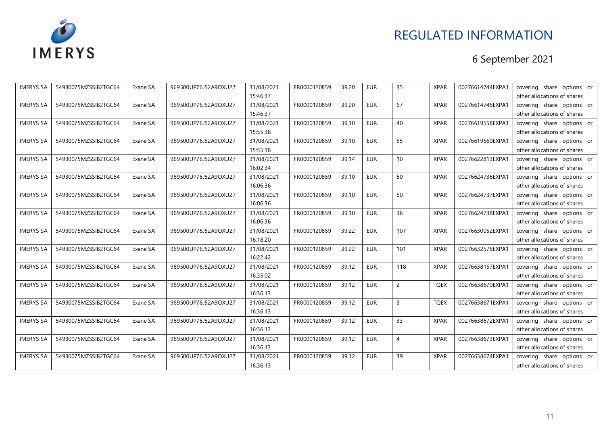

| <b>IMERYS SA</b> | 54930075MZSSIB2TGC64 | Exane SA | 969500UP76J52A9OXU27 | 31/08/2021 | FR0000120859 | 39,20 | <b>EUR</b> | 35              | <b>XPAR</b> | 00276614744EXPA1 | covering share options or   |
|------------------|----------------------|----------|----------------------|------------|--------------|-------|------------|-----------------|-------------|------------------|-----------------------------|
|                  |                      |          |                      | 15:46:37   |              |       |            |                 |             |                  | other allocations of shares |
| <b>IMERYS SA</b> | 54930075MZSSIB2TGC64 | Exane SA | 969500UP76J52A9OXU27 | 31/08/2021 | FR0000120859 | 39,20 | <b>EUR</b> | 67              | <b>XPAR</b> | 00276614746EXPA1 | covering share options or   |
|                  |                      |          |                      | 15:46:37   |              |       |            |                 |             |                  | other allocations of shares |
| <b>IMERYS SA</b> | 54930075MZSSIB2TGC64 | Exane SA | 969500UP76J52A9OXU27 | 31/08/2021 | FR0000120859 | 39,10 | <b>EUR</b> | 40              | <b>XPAR</b> | 00276619558EXPA1 | covering share options or   |
|                  |                      |          |                      | 15:55:38   |              |       |            |                 |             |                  | other allocations of shares |
| <b>IMERYS SA</b> | 54930075MZSSIB2TGC64 | Exane SA | 969500UP76J52A9OXU27 | 31/08/2021 | FR0000120859 | 39,10 | <b>EUR</b> | 55              | <b>XPAR</b> | 00276619560EXPA1 | covering share options or   |
|                  |                      |          |                      | 15:55:38   |              |       |            |                 |             |                  | other allocations of shares |
| <b>IMERYS SA</b> | 54930075MZSSIB2TGC64 | Exane SA | 969500UP76J52A9OXU27 | 31/08/2021 | FR0000120859 | 39,14 | <b>EUR</b> | 10 <sup>1</sup> | <b>XPAR</b> | 00276622813EXPA1 | covering share options or   |
|                  |                      |          |                      | 16:02:34   |              |       |            |                 |             |                  | other allocations of shares |
| <b>IMERYS SA</b> | 54930075MZSSIB2TGC64 | Exane SA | 969500UP76J52A9OXU27 | 31/08/2021 | FR0000120859 | 39,10 | EUR        | 50              | <b>XPAR</b> | 00276624736EXPA1 | covering share options or   |
|                  |                      |          |                      | 16:06:36   |              |       |            |                 |             |                  | other allocations of shares |
| <b>IMERYS SA</b> | 54930075MZSSIB2TGC64 | Exane SA | 969500UP76J52A9OXU27 | 31/08/2021 | FR0000120859 | 39,10 | <b>EUR</b> | 50              | <b>XPAR</b> | 00276624737EXPA1 | covering share options or   |
|                  |                      |          |                      | 16:06:36   |              |       |            |                 |             |                  | other allocations of shares |
| <b>IMERYS SA</b> | 54930075MZSSIB2TGC64 | Exane SA | 969500UP76J52A9OXU27 | 31/08/2021 | FR0000120859 | 39,10 | <b>EUR</b> | 36              | <b>XPAR</b> | 00276624738EXPA1 | covering share options or   |
|                  |                      |          |                      | 16:06:36   |              |       |            |                 |             |                  | other allocations of shares |
| <b>IMERYS SA</b> | 54930075MZSSIB2TGC64 | Exane SA | 969500UP76J52A9OXU27 | 31/08/2021 | FR0000120859 | 39,22 | <b>EUR</b> | 107             | <b>XPAR</b> | 00276630052EXPA1 | covering share options or   |
|                  |                      |          |                      | 16:18:20   |              |       |            |                 |             |                  | other allocations of shares |
| <b>IMERYS SA</b> | 54930075MZSSIB2TGC64 | Exane SA | 969500UP76J52A9OXU27 | 31/08/2021 | FR0000120859 | 39,22 | <b>EUR</b> | 101             | <b>XPAR</b> | 00276632576EXPA1 | covering share options or   |
|                  |                      |          |                      | 16:22:42   |              |       |            |                 |             |                  | other allocations of shares |
| <b>IMERYS SA</b> | 54930075MZSSIB2TGC64 | Exane SA | 969500UP76J52A9OXU27 | 31/08/2021 | FR0000120859 | 39,12 | <b>EUR</b> | 118             | <b>XPAR</b> | 00276638157EXPA1 | covering share options or   |
|                  |                      |          |                      | 16:35:02   |              |       |            |                 |             |                  | other allocations of shares |
| <b>IMERYS SA</b> | 54930075MZSSIB2TGC64 | Exane SA | 969500UP76J52A9OXU27 | 31/08/2021 | FR0000120859 | 39,12 | <b>EUR</b> | $\overline{2}$  | <b>TQEX</b> | 00276638670EXPA1 | covering share options or   |
|                  |                      |          |                      | 16:36:13   |              |       |            |                 |             |                  | other allocations of shares |
| <b>IMERYS SA</b> | 54930075MZSSIB2TGC64 | Exane SA | 969500UP76J52A9OXU27 | 31/08/2021 | FR0000120859 | 39,12 | <b>EUR</b> | 3               | <b>TQEX</b> | 00276638671EXPA1 | covering share options or   |
|                  |                      |          |                      | 16:36:13   |              |       |            |                 |             |                  | other allocations of shares |
| <b>IMERYS SA</b> | 54930075MZSSIB2TGC64 | Exane SA | 969500UP76J52A9OXU27 | 31/08/2021 | FR0000120859 | 39,12 | <b>EUR</b> | 33              | <b>XPAR</b> | 00276638672EXPA1 | covering share options or   |
|                  |                      |          |                      | 16:36:13   |              |       |            |                 |             |                  | other allocations of shares |
| <b>IMERYS SA</b> | 54930075MZSSIB2TGC64 | Exane SA | 969500UP76J52A9OXU27 | 31/08/2021 | FR0000120859 | 39,12 | <b>EUR</b> | 4               | <b>XPAR</b> | 00276638673EXPA1 | covering share options or   |
|                  |                      |          |                      | 16:36:13   |              |       |            |                 |             |                  | other allocations of shares |
| <b>IMERYS SA</b> | 54930075MZSSIB2TGC64 | Exane SA | 969500UP76J52A9OXU27 | 31/08/2021 | FR0000120859 | 39,12 | <b>EUR</b> | 39              | <b>XPAR</b> | 00276638674EXPA1 | covering share options or   |
|                  |                      |          |                      | 16:36:13   |              |       |            |                 |             |                  | other allocations of shares |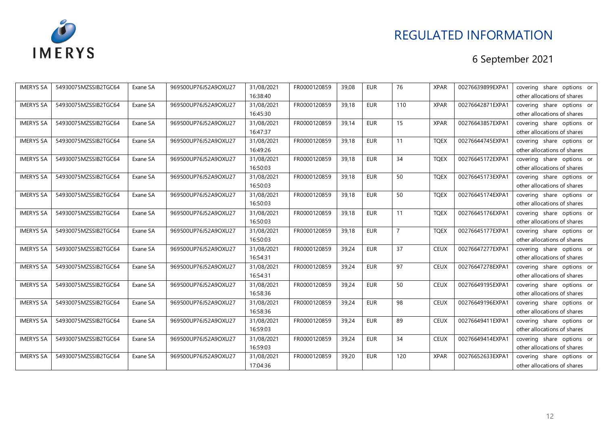

| <b>IMERYS SA</b> | 54930075MZSSIB2TGC64 | Exane SA | 969500UP76J52A9OXU27 | 31/08/2021 | FR0000120859 | 39,08 | <b>EUR</b> | 76             | <b>XPAR</b> | 00276639899EXPA1 | covering share options or   |
|------------------|----------------------|----------|----------------------|------------|--------------|-------|------------|----------------|-------------|------------------|-----------------------------|
|                  |                      |          |                      | 16:38:40   |              |       |            |                |             |                  | other allocations of shares |
| <b>IMERYS SA</b> | 54930075MZSSIB2TGC64 | Exane SA | 969500UP76J52A9OXU27 | 31/08/2021 | FR0000120859 | 39,18 | <b>EUR</b> | 110            | <b>XPAR</b> | 00276642871EXPA1 | covering share options or   |
|                  |                      |          |                      | 16:45:30   |              |       |            |                |             |                  | other allocations of shares |
| <b>IMERYS SA</b> | 54930075MZSSIB2TGC64 | Exane SA | 969500UP76J52A9OXU27 | 31/08/2021 | FR0000120859 | 39,14 | <b>EUR</b> | 15             | <b>XPAR</b> | 00276643857EXPA1 | covering share options or   |
|                  |                      |          |                      | 16:47:37   |              |       |            |                |             |                  | other allocations of shares |
| <b>IMERYS SA</b> | 54930075MZSSIB2TGC64 | Exane SA | 969500UP76J52A9OXU27 | 31/08/2021 | FR0000120859 | 39,18 | <b>EUR</b> | 11             | <b>TQEX</b> | 00276644745EXPA1 | covering share options or   |
|                  |                      |          |                      | 16:49:26   |              |       |            |                |             |                  | other allocations of shares |
| <b>IMERYS SA</b> | 54930075MZSSIB2TGC64 | Exane SA | 969500UP76J52A9OXU27 | 31/08/2021 | FR0000120859 | 39,18 | <b>EUR</b> | 34             | <b>TQEX</b> | 00276645172EXPA1 | covering share options or   |
|                  |                      |          |                      | 16:50:03   |              |       |            |                |             |                  | other allocations of shares |
| <b>IMERYS SA</b> | 54930075MZSSIB2TGC64 | Exane SA | 969500UP76J52A9OXU27 | 31/08/2021 | FR0000120859 | 39,18 | <b>EUR</b> | 50             | <b>TQEX</b> | 00276645173EXPA1 | covering share options or   |
|                  |                      |          |                      | 16:50:03   |              |       |            |                |             |                  | other allocations of shares |
| <b>IMERYS SA</b> | 54930075MZSSIB2TGC64 | Exane SA | 969500UP76J52A9OXU27 | 31/08/2021 | FR0000120859 | 39,18 | <b>EUR</b> | 50             | <b>TQEX</b> | 00276645174EXPA1 | covering share options or   |
|                  |                      |          |                      | 16:50:03   |              |       |            |                |             |                  | other allocations of shares |
| <b>IMERYS SA</b> | 54930075MZSSIB2TGC64 | Exane SA | 969500UP76J52A9OXU27 | 31/08/2021 | FR0000120859 | 39,18 | <b>EUR</b> | 11             | <b>TQEX</b> | 00276645176EXPA1 | covering share options or   |
|                  |                      |          |                      | 16:50:03   |              |       |            |                |             |                  | other allocations of shares |
| <b>IMERYS SA</b> | 54930075MZSSIB2TGC64 | Exane SA | 969500UP76J52A9OXU27 | 31/08/2021 | FR0000120859 | 39,18 | <b>EUR</b> | $\overline{7}$ | <b>TQEX</b> | 00276645177EXPA1 | covering share options or   |
|                  |                      |          |                      | 16:50:03   |              |       |            |                |             |                  | other allocations of shares |
| <b>IMERYS SA</b> | 54930075MZSSIB2TGC64 | Exane SA | 969500UP76J52A9OXU27 | 31/08/2021 | FR0000120859 | 39,24 | <b>EUR</b> | 37             | <b>CEUX</b> | 00276647277EXPA1 | covering share options or   |
|                  |                      |          |                      | 16:54:31   |              |       |            |                |             |                  | other allocations of shares |
| <b>IMERYS SA</b> | 54930075MZSSIB2TGC64 | Exane SA | 969500UP76J52A9OXU27 | 31/08/2021 | FR0000120859 | 39,24 | <b>EUR</b> | 97             | <b>CEUX</b> | 00276647278EXPA1 | covering share options or   |
|                  |                      |          |                      | 16:54:31   |              |       |            |                |             |                  | other allocations of shares |
| <b>IMERYS SA</b> | 54930075MZSSIB2TGC64 | Exane SA | 969500UP76J52A9OXU27 | 31/08/2021 | FR0000120859 | 39,24 | <b>EUR</b> | 50             | <b>CEUX</b> | 00276649195EXPA1 | covering share options or   |
|                  |                      |          |                      | 16:58:36   |              |       |            |                |             |                  | other allocations of shares |
| <b>IMERYS SA</b> | 54930075MZSSIB2TGC64 | Exane SA | 969500UP76J52A9OXU27 | 31/08/2021 | FR0000120859 | 39,24 | <b>EUR</b> | 98             | <b>CEUX</b> | 00276649196EXPA1 | covering share options or   |
|                  |                      |          |                      | 16:58:36   |              |       |            |                |             |                  | other allocations of shares |
| <b>IMERYS SA</b> | 54930075MZSSIB2TGC64 | Exane SA | 969500UP76J52A9OXU27 | 31/08/2021 | FR0000120859 | 39,24 | <b>EUR</b> | 89             | <b>CEUX</b> | 00276649411EXPA1 | covering share options or   |
|                  |                      |          |                      | 16:59:03   |              |       |            |                |             |                  | other allocations of shares |
| <b>IMERYS SA</b> | 54930075MZSSIB2TGC64 | Exane SA | 969500UP76J52A9OXU27 | 31/08/2021 | FR0000120859 | 39,24 | <b>EUR</b> | 34             | <b>CEUX</b> | 00276649414EXPA1 | covering share options or   |
|                  |                      |          |                      | 16:59:03   |              |       |            |                |             |                  | other allocations of shares |
| <b>IMERYS SA</b> | 54930075MZSSIB2TGC64 | Exane SA | 969500UP76J52A9OXU27 | 31/08/2021 | FR0000120859 | 39,20 | <b>EUR</b> | 120            | <b>XPAR</b> | 00276652633EXPA1 | covering share options or   |
|                  |                      |          |                      | 17:04:36   |              |       |            |                |             |                  | other allocations of shares |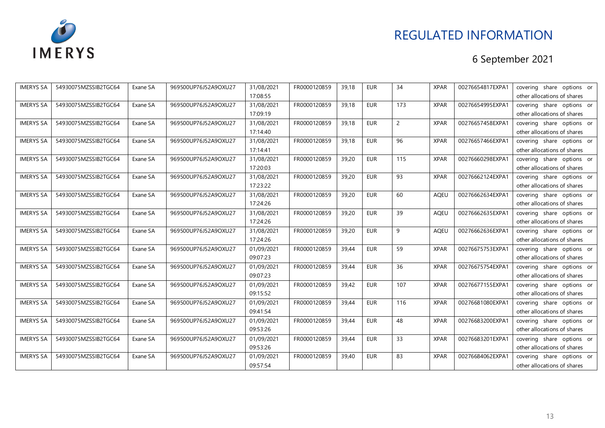

| <b>IMERYS SA</b> | 54930075MZSSIB2TGC64 | Exane SA | 969500UP76J52A9OXU27 | 31/08/2021 | FR0000120859 | 39,18 | <b>EUR</b> | 34             | <b>XPAR</b> | 00276654817EXPA1 | covering share options or   |
|------------------|----------------------|----------|----------------------|------------|--------------|-------|------------|----------------|-------------|------------------|-----------------------------|
|                  |                      |          |                      | 17:08:55   |              |       |            |                |             |                  | other allocations of shares |
| <b>IMERYS SA</b> | 54930075MZSSIB2TGC64 | Exane SA | 969500UP76J52A9OXU27 | 31/08/2021 | FR0000120859 | 39,18 | <b>EUR</b> | 173            | <b>XPAR</b> | 00276654995EXPA1 | covering share options or   |
|                  |                      |          |                      | 17:09:19   |              |       |            |                |             |                  | other allocations of shares |
| <b>IMERYS SA</b> | 54930075MZSSIB2TGC64 | Exane SA | 969500UP76J52A9OXU27 | 31/08/2021 | FR0000120859 | 39,18 | EUR        | $\overline{2}$ | <b>XPAR</b> | 00276657458EXPA1 | covering share options or   |
|                  |                      |          |                      | 17:14:40   |              |       |            |                |             |                  | other allocations of shares |
| <b>IMERYS SA</b> | 54930075MZSSIB2TGC64 | Exane SA | 969500UP76J52A9OXU27 | 31/08/2021 | FR0000120859 | 39,18 | <b>EUR</b> | 96             | <b>XPAR</b> | 00276657466EXPA1 | covering share options or   |
|                  |                      |          |                      | 17:14:41   |              |       |            |                |             |                  | other allocations of shares |
| <b>IMERYS SA</b> | 54930075MZSSIB2TGC64 | Exane SA | 969500UP76J52A9OXU27 | 31/08/2021 | FR0000120859 | 39,20 | <b>EUR</b> | 115            | <b>XPAR</b> | 00276660298EXPA1 | covering share options or   |
|                  |                      |          |                      | 17:20:03   |              |       |            |                |             |                  | other allocations of shares |
| <b>IMERYS SA</b> | 54930075MZSSIB2TGC64 | Exane SA | 969500UP76J52A9OXU27 | 31/08/2021 | FR0000120859 | 39,20 | <b>EUR</b> | 93             | <b>XPAR</b> | 00276662124EXPA1 | covering share options or   |
|                  |                      |          |                      | 17:23:22   |              |       |            |                |             |                  | other allocations of shares |
| <b>IMERYS SA</b> | 54930075MZSSIB2TGC64 | Exane SA | 969500UP76J52A9OXU27 | 31/08/2021 | FR0000120859 | 39,20 | <b>EUR</b> | 60             | <b>AQEU</b> | 00276662634EXPA1 | covering share options or   |
|                  |                      |          |                      | 17:24:26   |              |       |            |                |             |                  | other allocations of shares |
| <b>IMERYS SA</b> | 54930075MZSSIB2TGC64 | Exane SA | 969500UP76J52A9OXU27 | 31/08/2021 | FR0000120859 | 39,20 | <b>EUR</b> | 39             | AQEU        | 00276662635EXPA1 | covering share options or   |
|                  |                      |          |                      | 17:24:26   |              |       |            |                |             |                  | other allocations of shares |
| <b>IMERYS SA</b> | 54930075MZSSIB2TGC64 | Exane SA | 969500UP76J52A9OXU27 | 31/08/2021 | FR0000120859 | 39,20 | <b>EUR</b> | 9              | <b>AQEU</b> | 00276662636EXPA1 | covering share options or   |
|                  |                      |          |                      | 17:24:26   |              |       |            |                |             |                  | other allocations of shares |
| <b>IMERYS SA</b> | 54930075MZSSIB2TGC64 | Exane SA | 969500UP76J52A9OXU27 | 01/09/2021 | FR0000120859 | 39,44 | <b>EUR</b> | 59             | <b>XPAR</b> | 00276675753EXPA1 | covering share options or   |
|                  |                      |          |                      | 09:07:23   |              |       |            |                |             |                  | other allocations of shares |
| <b>IMERYS SA</b> | 54930075MZSSIB2TGC64 | Exane SA | 969500UP76J52A9OXU27 | 01/09/2021 | FR0000120859 | 39,44 | <b>EUR</b> | 36             | <b>XPAR</b> | 00276675754EXPA1 | covering share options or   |
|                  |                      |          |                      | 09:07:23   |              |       |            |                |             |                  | other allocations of shares |
| <b>IMERYS SA</b> | 54930075MZSSIB2TGC64 | Exane SA | 969500UP76J52A9OXU27 | 01/09/2021 | FR0000120859 | 39,42 | EUR        | 107            | <b>XPAR</b> | 00276677155EXPA1 | covering share options or   |
|                  |                      |          |                      | 09:15:52   |              |       |            |                |             |                  | other allocations of shares |
| <b>IMERYS SA</b> | 54930075MZSSIB2TGC64 | Exane SA | 969500UP76J52A9OXU27 | 01/09/2021 | FR0000120859 | 39,44 | <b>EUR</b> | 116            | <b>XPAR</b> | 00276681080EXPA1 | covering share options or   |
|                  |                      |          |                      | 09:41:54   |              |       |            |                |             |                  | other allocations of shares |
| <b>IMERYS SA</b> | 54930075MZSSIB2TGC64 | Exane SA | 969500UP76J52A9OXU27 | 01/09/2021 | FR0000120859 | 39,44 | <b>EUR</b> | 48             | <b>XPAR</b> | 00276683200EXPA1 | covering share options or   |
|                  |                      |          |                      | 09:53:26   |              |       |            |                |             |                  | other allocations of shares |
| <b>IMERYS SA</b> | 54930075MZSSIB2TGC64 | Exane SA | 969500UP76J52A9OXU27 | 01/09/2021 | FR0000120859 | 39,44 | <b>EUR</b> | 33             | <b>XPAR</b> | 00276683201EXPA1 | covering share options or   |
|                  |                      |          |                      | 09:53:26   |              |       |            |                |             |                  | other allocations of shares |
| <b>IMERYS SA</b> | 54930075MZSSIB2TGC64 | Exane SA | 969500UP76J52A9OXU27 | 01/09/2021 | FR0000120859 | 39,40 | <b>EUR</b> | 83             | <b>XPAR</b> | 00276684062EXPA1 | covering share options or   |
|                  |                      |          |                      | 09:57:54   |              |       |            |                |             |                  | other allocations of shares |
|                  |                      |          |                      |            |              |       |            |                |             |                  |                             |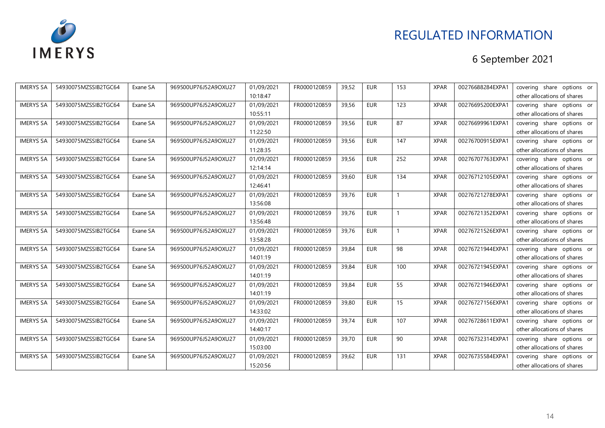

| <b>IMERYS SA</b> | 54930075MZSSIB2TGC64 | Exane SA | 969500UP76J52A9OXU27 | 01/09/2021 | FR0000120859 | 39,52 | <b>EUR</b> | 153 | <b>XPAR</b> | 00276688284EXPA1 | covering share options or   |
|------------------|----------------------|----------|----------------------|------------|--------------|-------|------------|-----|-------------|------------------|-----------------------------|
|                  |                      |          |                      | 10:18:47   |              |       |            |     |             |                  | other allocations of shares |
| <b>IMERYS SA</b> | 54930075MZSSIB2TGC64 | Exane SA | 969500UP76J52A9OXU27 | 01/09/2021 | FR0000120859 | 39,56 | <b>EUR</b> | 123 | <b>XPAR</b> | 00276695200EXPA1 | covering share options or   |
|                  |                      |          |                      | 10:55:11   |              |       |            |     |             |                  | other allocations of shares |
| <b>IMERYS SA</b> | 54930075MZSSIB2TGC64 | Exane SA | 969500UP76J52A9OXU27 | 01/09/2021 | FR0000120859 | 39,56 | <b>EUR</b> | 87  | <b>XPAR</b> | 00276699961EXPA1 | covering share options or   |
|                  |                      |          |                      | 11:22:50   |              |       |            |     |             |                  | other allocations of shares |
| <b>IMERYS SA</b> | 54930075MZSSIB2TGC64 | Exane SA | 969500UP76J52A9OXU27 | 01/09/2021 | FR0000120859 | 39,56 | <b>EUR</b> | 147 | <b>XPAR</b> | 00276700915EXPA1 | covering share options or   |
|                  |                      |          |                      | 11:28:35   |              |       |            |     |             |                  | other allocations of shares |
| <b>IMERYS SA</b> | 54930075MZSSIB2TGC64 | Exane SA | 969500UP76J52A9OXU27 | 01/09/2021 | FR0000120859 | 39,56 | <b>EUR</b> | 252 | <b>XPAR</b> | 00276707763EXPA1 | covering share options or   |
|                  |                      |          |                      | 12:14:14   |              |       |            |     |             |                  | other allocations of shares |
| <b>IMERYS SA</b> | 54930075MZSSIB2TGC64 | Exane SA | 969500UP76J52A9OXU27 | 01/09/2021 | FR0000120859 | 39,60 | EUR        | 134 | <b>XPAR</b> | 00276712105EXPA1 | covering share options or   |
|                  |                      |          |                      | 12:46:41   |              |       |            |     |             |                  | other allocations of shares |
| <b>IMERYS SA</b> | 54930075MZSSIB2TGC64 | Exane SA | 969500UP76J52A9OXU27 | 01/09/2021 | FR0000120859 | 39,76 | <b>EUR</b> |     | <b>XPAR</b> | 00276721278EXPA1 | covering share options or   |
|                  |                      |          |                      | 13:56:08   |              |       |            |     |             |                  | other allocations of shares |
| <b>IMERYS SA</b> | 54930075MZSSIB2TGC64 | Exane SA | 969500UP76J52A9OXU27 | 01/09/2021 | FR0000120859 | 39,76 | <b>EUR</b> |     | <b>XPAR</b> | 00276721352EXPA1 | covering share options or   |
|                  |                      |          |                      | 13:56:48   |              |       |            |     |             |                  | other allocations of shares |
| <b>IMERYS SA</b> | 54930075MZSSIB2TGC64 | Exane SA | 969500UP76J52A9OXU27 | 01/09/2021 | FR0000120859 | 39,76 | <b>EUR</b> | 1   | <b>XPAR</b> | 00276721526EXPA1 | covering share options or   |
|                  |                      |          |                      | 13:58:28   |              |       |            |     |             |                  | other allocations of shares |
| <b>IMERYS SA</b> | 54930075MZSSIB2TGC64 | Exane SA | 969500UP76J52A9OXU27 | 01/09/2021 | FR0000120859 | 39,84 | <b>EUR</b> | 98  | <b>XPAR</b> | 00276721944EXPA1 | covering share options or   |
|                  |                      |          |                      | 14:01:19   |              |       |            |     |             |                  | other allocations of shares |
| <b>IMERYS SA</b> | 54930075MZSSIB2TGC64 | Exane SA | 969500UP76J52A9OXU27 | 01/09/2021 | FR0000120859 | 39,84 | <b>EUR</b> | 100 | <b>XPAR</b> | 00276721945EXPA1 | covering share options or   |
|                  |                      |          |                      | 14:01:19   |              |       |            |     |             |                  | other allocations of shares |
| <b>IMERYS SA</b> | 54930075MZSSIB2TGC64 | Exane SA | 969500UP76J52A9OXU27 | 01/09/2021 | FR0000120859 | 39,84 | <b>EUR</b> | 55  | <b>XPAR</b> | 00276721946EXPA1 | covering share options or   |
|                  |                      |          |                      | 14:01:19   |              |       |            |     |             |                  | other allocations of shares |
| <b>IMERYS SA</b> | 54930075MZSSIB2TGC64 | Exane SA | 969500UP76J52A9OXU27 | 01/09/2021 | FR0000120859 | 39,80 | <b>EUR</b> | 15  | <b>XPAR</b> | 00276727156EXPA1 | covering share options or   |
|                  |                      |          |                      | 14:33:02   |              |       |            |     |             |                  | other allocations of shares |
| <b>IMERYS SA</b> | 54930075MZSSIB2TGC64 | Exane SA | 969500UP76J52A9OXU27 | 01/09/2021 | FR0000120859 | 39,74 | <b>EUR</b> | 107 | <b>XPAR</b> | 00276728611EXPA1 | covering share options or   |
|                  |                      |          |                      | 14:40:17   |              |       |            |     |             |                  | other allocations of shares |
| <b>IMERYS SA</b> | 54930075MZSSIB2TGC64 | Exane SA | 969500UP76J52A9OXU27 | 01/09/2021 | FR0000120859 | 39,70 | <b>EUR</b> | 90  | <b>XPAR</b> | 00276732314EXPA1 | covering share options or   |
|                  |                      |          |                      | 15:03:00   |              |       |            |     |             |                  | other allocations of shares |
| <b>IMERYS SA</b> | 54930075MZSSIB2TGC64 | Exane SA | 969500UP76J52A9OXU27 | 01/09/2021 | FR0000120859 | 39,62 | <b>EUR</b> | 131 | <b>XPAR</b> | 00276735584EXPA1 | covering share options or   |
|                  |                      |          |                      | 15:20:56   |              |       |            |     |             |                  | other allocations of shares |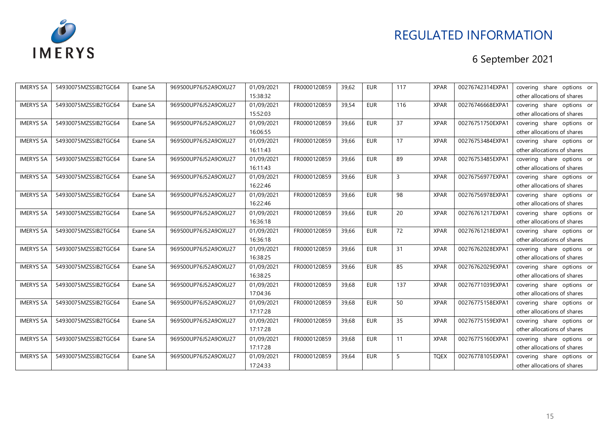

| <b>IMERYS SA</b> | 54930075MZSSIB2TGC64 | Exane SA | 969500UP76J52A9OXU27 | 01/09/2021 | FR0000120859 | 39,62 | <b>EUR</b> | 117 | <b>XPAR</b> | 00276742314EXPA1 | covering share options or   |
|------------------|----------------------|----------|----------------------|------------|--------------|-------|------------|-----|-------------|------------------|-----------------------------|
|                  |                      |          |                      | 15:38:32   |              |       |            |     |             |                  | other allocations of shares |
| <b>IMERYS SA</b> | 54930075MZSSIB2TGC64 | Exane SA | 969500UP76J52A9OXU27 | 01/09/2021 | FR0000120859 | 39,54 | <b>EUR</b> | 116 | <b>XPAR</b> | 00276746668EXPA1 | covering share options or   |
|                  |                      |          |                      | 15:52:03   |              |       |            |     |             |                  | other allocations of shares |
| <b>IMERYS SA</b> | 54930075MZSSIB2TGC64 | Exane SA | 969500UP76J52A9OXU27 | 01/09/2021 | FR0000120859 | 39,66 | <b>EUR</b> | 37  | <b>XPAR</b> | 00276751750EXPA1 | covering share options or   |
|                  |                      |          |                      | 16:06:55   |              |       |            |     |             |                  | other allocations of shares |
| <b>IMERYS SA</b> | 54930075MZSSIB2TGC64 | Exane SA | 969500UP76J52A9OXU27 | 01/09/2021 | FR0000120859 | 39,66 | <b>EUR</b> | 17  | <b>XPAR</b> | 00276753484EXPA1 | covering share options or   |
|                  |                      |          |                      | 16:11:43   |              |       |            |     |             |                  | other allocations of shares |
| <b>IMERYS SA</b> | 54930075MZSSIB2TGC64 | Exane SA | 969500UP76J52A9OXU27 | 01/09/2021 | FR0000120859 | 39,66 | <b>EUR</b> | 89  | <b>XPAR</b> | 00276753485EXPA1 | covering share options or   |
|                  |                      |          |                      | 16:11:43   |              |       |            |     |             |                  | other allocations of shares |
| <b>IMERYS SA</b> | 54930075MZSSIB2TGC64 | Exane SA | 969500UP76J52A9OXU27 | 01/09/2021 | FR0000120859 | 39,66 | <b>EUR</b> | 3   | <b>XPAR</b> | 00276756977EXPA1 | covering share options or   |
|                  |                      |          |                      | 16:22:46   |              |       |            |     |             |                  | other allocations of shares |
| <b>IMERYS SA</b> | 54930075MZSSIB2TGC64 | Exane SA | 969500UP76J52A9OXU27 | 01/09/2021 | FR0000120859 | 39,66 | <b>EUR</b> | 98  | <b>XPAR</b> | 00276756978EXPA1 | covering share options or   |
|                  |                      |          |                      | 16:22:46   |              |       |            |     |             |                  | other allocations of shares |
| <b>IMERYS SA</b> | 54930075MZSSIB2TGC64 | Exane SA | 969500UP76J52A9OXU27 | 01/09/2021 | FR0000120859 | 39,66 | <b>EUR</b> | 20  | <b>XPAR</b> | 00276761217EXPA1 | covering share options or   |
|                  |                      |          |                      | 16:36:18   |              |       |            |     |             |                  | other allocations of shares |
| <b>IMERYS SA</b> | 54930075MZSSIB2TGC64 | Exane SA | 969500UP76J52A9OXU27 | 01/09/2021 | FR0000120859 | 39,66 | <b>EUR</b> | 72  | <b>XPAR</b> | 00276761218EXPA1 | covering share options or   |
|                  |                      |          |                      | 16:36:18   |              |       |            |     |             |                  | other allocations of shares |
| <b>IMERYS SA</b> | 54930075MZSSIB2TGC64 | Exane SA | 969500UP76J52A9OXU27 | 01/09/2021 | FR0000120859 | 39,66 | <b>EUR</b> | 31  | <b>XPAR</b> | 00276762028EXPA1 | covering share options or   |
|                  |                      |          |                      | 16:38:25   |              |       |            |     |             |                  | other allocations of shares |
| <b>IMERYS SA</b> | 54930075MZSSIB2TGC64 | Exane SA | 969500UP76J52A9OXU27 | 01/09/2021 | FR0000120859 | 39,66 | <b>EUR</b> | 85  | <b>XPAR</b> | 00276762029EXPA1 | covering share options or   |
|                  |                      |          |                      | 16:38:25   |              |       |            |     |             |                  | other allocations of shares |
| <b>IMERYS SA</b> | 54930075MZSSIB2TGC64 | Exane SA | 969500UP76J52A9OXU27 | 01/09/2021 | FR0000120859 | 39,68 | <b>EUR</b> | 137 | <b>XPAR</b> | 00276771039EXPA1 | covering share options or   |
|                  |                      |          |                      | 17:04:36   |              |       |            |     |             |                  | other allocations of shares |
| <b>IMERYS SA</b> | 54930075MZSSIB2TGC64 | Exane SA | 969500UP76J52A9OXU27 | 01/09/2021 | FR0000120859 | 39,68 | <b>EUR</b> | 50  | <b>XPAR</b> | 00276775158EXPA1 | covering share options or   |
|                  |                      |          |                      | 17:17:28   |              |       |            |     |             |                  | other allocations of shares |
| <b>IMERYS SA</b> | 54930075MZSSIB2TGC64 | Exane SA | 969500UP76J52A9OXU27 | 01/09/2021 | FR0000120859 | 39,68 | <b>EUR</b> | 35  | <b>XPAR</b> | 00276775159EXPA1 | covering share options or   |
|                  |                      |          |                      | 17:17:28   |              |       |            |     |             |                  | other allocations of shares |
| <b>IMERYS SA</b> | 54930075MZSSIB2TGC64 | Exane SA | 969500UP76J52A9OXU27 | 01/09/2021 | FR0000120859 | 39,68 | <b>EUR</b> | 11  | <b>XPAR</b> | 00276775160EXPA1 | covering share options or   |
|                  |                      |          |                      | 17:17:28   |              |       |            |     |             |                  | other allocations of shares |
| <b>IMERYS SA</b> | 54930075MZSSIB2TGC64 | Exane SA | 969500UP76J52A9OXU27 | 01/09/2021 | FR0000120859 | 39,64 | <b>EUR</b> | 5   | <b>TQEX</b> | 00276778105EXPA1 | covering share options or   |
|                  |                      |          |                      | 17:24:33   |              |       |            |     |             |                  | other allocations of shares |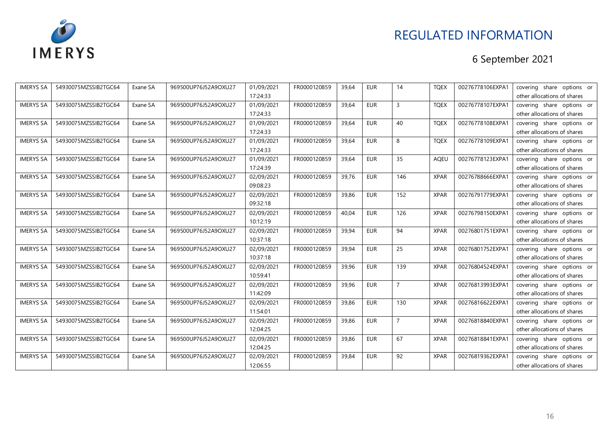

| <b>IMERYS SA</b> | 54930075MZSSIB2TGC64 | Exane SA | 969500UP76J52A9OXU27 | 01/09/2021 | FR0000120859 | 39,64 | <b>EUR</b> | 14             | <b>TQEX</b> | 00276778106EXPA1 | covering share options or   |
|------------------|----------------------|----------|----------------------|------------|--------------|-------|------------|----------------|-------------|------------------|-----------------------------|
|                  |                      |          |                      | 17:24:33   |              |       |            |                |             |                  | other allocations of shares |
| <b>IMERYS SA</b> | 54930075MZSSIB2TGC64 | Exane SA | 969500UP76J52A9OXU27 | 01/09/2021 | FR0000120859 | 39,64 | <b>EUR</b> | $\overline{3}$ | <b>TQEX</b> | 00276778107EXPA1 | covering share options or   |
|                  |                      |          |                      | 17:24:33   |              |       |            |                |             |                  | other allocations of shares |
| <b>IMERYS SA</b> | 54930075MZSSIB2TGC64 | Exane SA | 969500UP76J52A9OXU27 | 01/09/2021 | FR0000120859 | 39,64 | EUR        | 40             | <b>TQEX</b> | 00276778108EXPA1 | covering share options or   |
|                  |                      |          |                      | 17:24:33   |              |       |            |                |             |                  | other allocations of shares |
| <b>IMERYS SA</b> | 54930075MZSSIB2TGC64 | Exane SA | 969500UP76J52A9OXU27 | 01/09/2021 | FR0000120859 | 39,64 | <b>EUR</b> | 8              | <b>TQEX</b> | 00276778109EXPA1 | covering share options or   |
|                  |                      |          |                      | 17:24:33   |              |       |            |                |             |                  | other allocations of shares |
| <b>IMERYS SA</b> | 54930075MZSSIB2TGC64 | Exane SA | 969500UP76J52A9OXU27 | 01/09/2021 | FR0000120859 | 39,64 | <b>EUR</b> | 35             | <b>AQEU</b> | 00276778123EXPA1 | covering share options or   |
|                  |                      |          |                      | 17:24:39   |              |       |            |                |             |                  | other allocations of shares |
| <b>IMERYS SA</b> | 54930075MZSSIB2TGC64 | Exane SA | 969500UP76J52A9OXU27 | 02/09/2021 | FR0000120859 | 39,76 | <b>EUR</b> | 146            | <b>XPAR</b> | 00276788666EXPA1 | covering share options or   |
|                  |                      |          |                      | 09:08:23   |              |       |            |                |             |                  | other allocations of shares |
| <b>IMERYS SA</b> | 54930075MZSSIB2TGC64 | Exane SA | 969500UP76J52A9OXU27 | 02/09/2021 | FR0000120859 | 39,86 | <b>EUR</b> | 152            | <b>XPAR</b> | 00276791779EXPA1 | covering share options or   |
|                  |                      |          |                      | 09:32:18   |              |       |            |                |             |                  | other allocations of shares |
| <b>IMERYS SA</b> | 54930075MZSSIB2TGC64 | Exane SA | 969500UP76J52A9OXU27 | 02/09/2021 | FR0000120859 | 40,04 | <b>EUR</b> | 126            | <b>XPAR</b> | 00276798150EXPA1 | covering share options or   |
|                  |                      |          |                      | 10:12:19   |              |       |            |                |             |                  | other allocations of shares |
| <b>IMERYS SA</b> | 54930075MZSSIB2TGC64 | Exane SA | 969500UP76J52A9OXU27 | 02/09/2021 | FR0000120859 | 39,94 | <b>EUR</b> | 94             | <b>XPAR</b> | 00276801751EXPA1 | covering share options or   |
|                  |                      |          |                      | 10:37:18   |              |       |            |                |             |                  | other allocations of shares |
| <b>IMERYS SA</b> | 54930075MZSSIB2TGC64 | Exane SA | 969500UP76J52A9OXU27 | 02/09/2021 | FR0000120859 | 39,94 | <b>EUR</b> | 25             | <b>XPAR</b> | 00276801752EXPA1 | covering share options or   |
|                  |                      |          |                      | 10:37:18   |              |       |            |                |             |                  | other allocations of shares |
| <b>IMERYS SA</b> | 54930075MZSSIB2TGC64 | Exane SA | 969500UP76J52A9OXU27 | 02/09/2021 | FR0000120859 | 39,96 | <b>EUR</b> | 139            | <b>XPAR</b> | 00276804524EXPA1 | covering share options or   |
|                  |                      |          |                      | 10:59:41   |              |       |            |                |             |                  | other allocations of shares |
| <b>IMERYS SA</b> | 54930075MZSSIB2TGC64 | Exane SA | 969500UP76J52A9OXU27 | 02/09/2021 | FR0000120859 | 39,96 | EUR        | $\overline{7}$ | <b>XPAR</b> | 00276813993EXPA1 | covering share options or   |
|                  |                      |          |                      | 11:42:09   |              |       |            |                |             |                  | other allocations of shares |
| <b>IMERYS SA</b> | 54930075MZSSIB2TGC64 | Exane SA | 969500UP76J52A9OXU27 | 02/09/2021 | FR0000120859 | 39,86 | <b>EUR</b> | 130            | <b>XPAR</b> | 00276816622EXPA1 | covering share options or   |
|                  |                      |          |                      | 11:54:01   |              |       |            |                |             |                  | other allocations of shares |
| <b>IMERYS SA</b> | 54930075MZSSIB2TGC64 | Exane SA | 969500UP76J52A9OXU27 | 02/09/2021 | FR0000120859 | 39,86 | <b>EUR</b> | $\overline{7}$ | <b>XPAR</b> | 00276818840EXPA1 | covering share options or   |
|                  |                      |          |                      | 12:04:25   |              |       |            |                |             |                  | other allocations of shares |
| <b>IMERYS SA</b> | 54930075MZSSIB2TGC64 | Exane SA | 969500UP76J52A9OXU27 | 02/09/2021 | FR0000120859 | 39,86 | <b>EUR</b> | 67             | <b>XPAR</b> | 00276818841EXPA1 | covering share options or   |
|                  |                      |          |                      | 12:04:25   |              |       |            |                |             |                  | other allocations of shares |
| <b>IMERYS SA</b> | 54930075MZSSIB2TGC64 | Exane SA | 969500UP76J52A9OXU27 | 02/09/2021 | FR0000120859 | 39,84 | <b>EUR</b> | 92             | <b>XPAR</b> | 00276819362EXPA1 | covering share options or   |
|                  |                      |          |                      | 12:06:55   |              |       |            |                |             |                  | other allocations of shares |
|                  |                      |          |                      |            |              |       |            |                |             |                  |                             |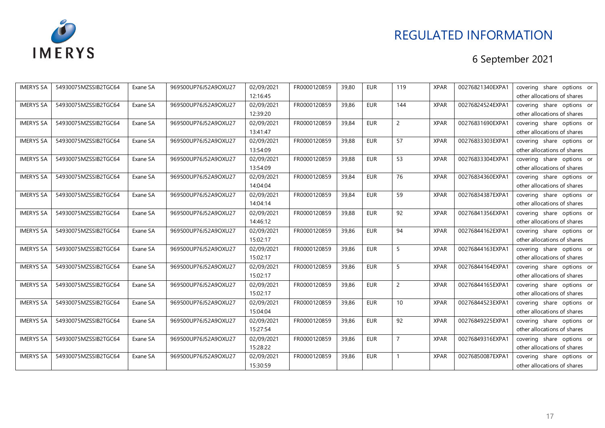

| <b>IMERYS SA</b> | 54930075MZSSIB2TGC64 | Exane SA | 969500UP76J52A9OXU27 | 02/09/2021 | FR0000120859 | 39,80 | <b>EUR</b> | 119             | <b>XPAR</b> | 00276821340EXPA1 | covering share options or   |
|------------------|----------------------|----------|----------------------|------------|--------------|-------|------------|-----------------|-------------|------------------|-----------------------------|
|                  |                      |          |                      | 12:16:45   |              |       |            |                 |             |                  | other allocations of shares |
| <b>IMERYS SA</b> | 54930075MZSSIB2TGC64 | Exane SA | 969500UP76J52A9OXU27 | 02/09/2021 | FR0000120859 | 39,86 | <b>EUR</b> | 144             | <b>XPAR</b> | 00276824524EXPA1 | covering share options or   |
|                  |                      |          |                      | 12:39:20   |              |       |            |                 |             |                  | other allocations of shares |
| <b>IMERYS SA</b> | 54930075MZSSIB2TGC64 | Exane SA | 969500UP76J52A9OXU27 | 02/09/2021 | FR0000120859 | 39,84 | <b>EUR</b> | $\overline{c}$  | <b>XPAR</b> | 00276831690EXPA1 | covering share options or   |
|                  |                      |          |                      | 13:41:47   |              |       |            |                 |             |                  | other allocations of shares |
| <b>IMERYS SA</b> | 54930075MZSSIB2TGC64 | Exane SA | 969500UP76J52A9OXU27 | 02/09/2021 | FR0000120859 | 39,88 | <b>EUR</b> | 57              | <b>XPAR</b> | 00276833303EXPA1 | covering share options or   |
|                  |                      |          |                      | 13:54:09   |              |       |            |                 |             |                  | other allocations of shares |
| <b>IMERYS SA</b> | 54930075MZSSIB2TGC64 | Exane SA | 969500UP76J52A9OXU27 | 02/09/2021 | FR0000120859 | 39,88 | <b>EUR</b> | 53              | <b>XPAR</b> | 00276833304EXPA1 | covering share options or   |
|                  |                      |          |                      | 13:54:09   |              |       |            |                 |             |                  | other allocations of shares |
| <b>IMERYS SA</b> | 54930075MZSSIB2TGC64 | Exane SA | 969500UP76J52A9OXU27 | 02/09/2021 | FR0000120859 | 39,84 | <b>EUR</b> | 76              | <b>XPAR</b> | 00276834360EXPA1 | covering share options or   |
|                  |                      |          |                      | 14:04:04   |              |       |            |                 |             |                  | other allocations of shares |
| <b>IMERYS SA</b> | 54930075MZSSIB2TGC64 | Exane SA | 969500UP76J52A9OXU27 | 02/09/2021 | FR0000120859 | 39,84 | <b>EUR</b> | 59              | <b>XPAR</b> | 00276834387EXPA1 | covering share options or   |
|                  |                      |          |                      | 14:04:14   |              |       |            |                 |             |                  | other allocations of shares |
| <b>IMERYS SA</b> | 54930075MZSSIB2TGC64 | Exane SA | 969500UP76J52A9OXU27 | 02/09/2021 | FR0000120859 | 39,88 | <b>EUR</b> | 92              | <b>XPAR</b> | 00276841356EXPA1 | covering share options or   |
|                  |                      |          |                      | 14:46:12   |              |       |            |                 |             |                  | other allocations of shares |
| <b>IMERYS SA</b> | 54930075MZSSIB2TGC64 | Exane SA | 969500UP76J52A9OXU27 | 02/09/2021 | FR0000120859 | 39,86 | <b>EUR</b> | 94              | <b>XPAR</b> | 00276844162EXPA1 | covering share options or   |
|                  |                      |          |                      | 15:02:17   |              |       |            |                 |             |                  | other allocations of shares |
| <b>IMERYS SA</b> | 54930075MZSSIB2TGC64 | Exane SA | 969500UP76J52A9OXU27 | 02/09/2021 | FR0000120859 | 39,86 | <b>EUR</b> | 5               | <b>XPAR</b> | 00276844163EXPA1 | covering share options or   |
|                  |                      |          |                      | 15:02:17   |              |       |            |                 |             |                  | other allocations of shares |
| <b>IMERYS SA</b> | 54930075MZSSIB2TGC64 | Exane SA | 969500UP76J52A9OXU27 | 02/09/2021 | FR0000120859 | 39,86 | <b>EUR</b> | 5               | <b>XPAR</b> | 00276844164EXPA1 | covering share options or   |
|                  |                      |          |                      | 15:02:17   |              |       |            |                 |             |                  | other allocations of shares |
| <b>IMERYS SA</b> | 54930075MZSSIB2TGC64 | Exane SA | 969500UP76J52A9OXU27 | 02/09/2021 | FR0000120859 | 39,86 | <b>EUR</b> | $\overline{2}$  | <b>XPAR</b> | 00276844165EXPA1 | covering share options or   |
|                  |                      |          |                      | 15:02:17   |              |       |            |                 |             |                  | other allocations of shares |
| <b>IMERYS SA</b> | 54930075MZSSIB2TGC64 | Exane SA | 969500UP76J52A9OXU27 | 02/09/2021 | FR0000120859 | 39,86 | <b>EUR</b> | 10 <sup>1</sup> | <b>XPAR</b> | 00276844523EXPA1 | covering share options or   |
|                  |                      |          |                      | 15:04:04   |              |       |            |                 |             |                  | other allocations of shares |
| <b>IMERYS SA</b> | 54930075MZSSIB2TGC64 | Exane SA | 969500UP76J52A9OXU27 | 02/09/2021 | FR0000120859 | 39,86 | <b>EUR</b> | 92              | <b>XPAR</b> | 00276849225EXPA1 | covering share options or   |
|                  |                      |          |                      | 15:27:54   |              |       |            |                 |             |                  | other allocations of shares |
| <b>IMERYS SA</b> | 54930075MZSSIB2TGC64 | Exane SA | 969500UP76J52A9OXU27 | 02/09/2021 | FR0000120859 | 39,86 | <b>EUR</b> | $\overline{7}$  | <b>XPAR</b> | 00276849316EXPA1 | covering share options or   |
|                  |                      |          |                      | 15:28:22   |              |       |            |                 |             |                  | other allocations of shares |
| <b>IMERYS SA</b> | 54930075MZSSIB2TGC64 | Exane SA | 969500UP76J52A9OXU27 | 02/09/2021 | FR0000120859 | 39,86 | <b>EUR</b> |                 | <b>XPAR</b> | 00276850087EXPA1 | covering share options or   |
|                  |                      |          |                      | 15:30:59   |              |       |            |                 |             |                  | other allocations of shares |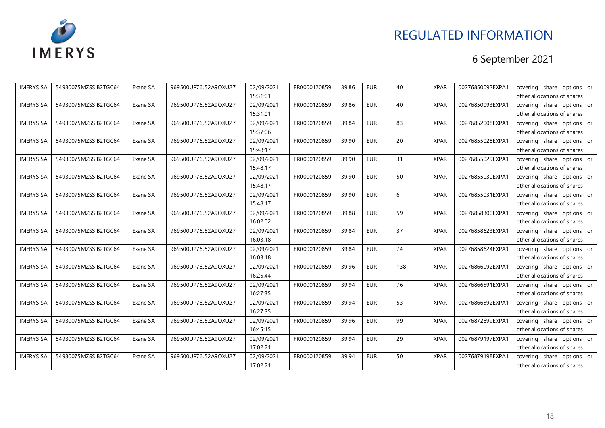

| <b>IMERYS SA</b> | 54930075MZSSIB2TGC64 | Exane SA | 969500UP76J52A9OXU27 | 02/09/2021 | FR0000120859 | 39,86 | <b>EUR</b> | 40  | <b>XPAR</b> | 00276850092EXPA1 | covering share options or   |
|------------------|----------------------|----------|----------------------|------------|--------------|-------|------------|-----|-------------|------------------|-----------------------------|
|                  |                      |          |                      | 15:31:01   |              |       |            |     |             |                  | other allocations of shares |
| <b>IMERYS SA</b> | 54930075MZSSIB2TGC64 | Exane SA | 969500UP76J52A9OXU27 | 02/09/2021 | FR0000120859 | 39,86 | <b>EUR</b> | 40  | <b>XPAR</b> | 00276850093EXPA1 | covering share options or   |
|                  |                      |          |                      | 15:31:01   |              |       |            |     |             |                  | other allocations of shares |
| <b>IMERYS SA</b> | 54930075MZSSIB2TGC64 | Exane SA | 969500UP76J52A9OXU27 | 02/09/2021 | FR0000120859 | 39,84 | <b>EUR</b> | 83  | <b>XPAR</b> | 00276852008EXPA1 | covering share options or   |
|                  |                      |          |                      | 15:37:06   |              |       |            |     |             |                  | other allocations of shares |
| <b>IMERYS SA</b> | 54930075MZSSIB2TGC64 | Exane SA | 969500UP76J52A9OXU27 | 02/09/2021 | FR0000120859 | 39,90 | <b>EUR</b> | 20  | <b>XPAR</b> | 00276855028EXPA1 | covering share options or   |
|                  |                      |          |                      | 15:48:17   |              |       |            |     |             |                  | other allocations of shares |
| <b>IMERYS SA</b> | 54930075MZSSIB2TGC64 | Exane SA | 969500UP76J52A9OXU27 | 02/09/2021 | FR0000120859 | 39,90 | <b>EUR</b> | 31  | <b>XPAR</b> | 00276855029EXPA1 | covering share options or   |
|                  |                      |          |                      | 15:48:17   |              |       |            |     |             |                  | other allocations of shares |
| <b>IMERYS SA</b> | 54930075MZSSIB2TGC64 | Exane SA | 969500UP76J52A9OXU27 | 02/09/2021 | FR0000120859 | 39,90 | <b>EUR</b> | 50  | <b>XPAR</b> | 00276855030EXPA1 | covering share options or   |
|                  |                      |          |                      | 15:48:17   |              |       |            |     |             |                  | other allocations of shares |
| <b>IMERYS SA</b> | 54930075MZSSIB2TGC64 | Exane SA | 969500UP76J52A9OXU27 | 02/09/2021 | FR0000120859 | 39,90 | <b>EUR</b> | 6   | <b>XPAR</b> | 00276855031EXPA1 | covering share options or   |
|                  |                      |          |                      | 15:48:17   |              |       |            |     |             |                  | other allocations of shares |
| <b>IMERYS SA</b> | 54930075MZSSIB2TGC64 | Exane SA | 969500UP76J52A9OXU27 | 02/09/2021 | FR0000120859 | 39,88 | <b>EUR</b> | 59  | <b>XPAR</b> | 00276858300EXPA1 | covering share options or   |
|                  |                      |          |                      | 16:02:02   |              |       |            |     |             |                  | other allocations of shares |
| <b>IMERYS SA</b> | 54930075MZSSIB2TGC64 | Exane SA | 969500UP76J52A9OXU27 | 02/09/2021 | FR0000120859 | 39,84 | <b>EUR</b> | 37  | <b>XPAR</b> | 00276858623EXPA1 | covering share options or   |
|                  |                      |          |                      | 16:03:18   |              |       |            |     |             |                  | other allocations of shares |
| <b>IMERYS SA</b> | 54930075MZSSIB2TGC64 | Exane SA | 969500UP76J52A9OXU27 | 02/09/2021 | FR0000120859 | 39,84 | <b>EUR</b> | 74  | <b>XPAR</b> | 00276858624EXPA1 | covering share options or   |
|                  |                      |          |                      | 16:03:18   |              |       |            |     |             |                  | other allocations of shares |
| <b>IMERYS SA</b> | 54930075MZSSIB2TGC64 | Exane SA | 969500UP76J52A9OXU27 | 02/09/2021 | FR0000120859 | 39,96 | <b>EUR</b> | 138 | <b>XPAR</b> | 00276866092EXPA1 | covering share options or   |
|                  |                      |          |                      | 16:25:44   |              |       |            |     |             |                  | other allocations of shares |
| <b>IMERYS SA</b> | 54930075MZSSIB2TGC64 | Exane SA | 969500UP76J52A9OXU27 | 02/09/2021 | FR0000120859 | 39,94 | <b>EUR</b> | 76  | <b>XPAR</b> | 00276866591EXPA1 | covering share options or   |
|                  |                      |          |                      | 16:27:35   |              |       |            |     |             |                  | other allocations of shares |
| <b>IMERYS SA</b> | 54930075MZSSIB2TGC64 | Exane SA | 969500UP76J52A9OXU27 | 02/09/2021 | FR0000120859 | 39,94 | <b>EUR</b> | 53  | <b>XPAR</b> | 00276866592EXPA1 | covering share options or   |
|                  |                      |          |                      | 16:27:35   |              |       |            |     |             |                  | other allocations of shares |
| <b>IMERYS SA</b> | 54930075MZSSIB2TGC64 | Exane SA | 969500UP76J52A9OXU27 | 02/09/2021 | FR0000120859 | 39,96 | <b>EUR</b> | 99  | <b>XPAR</b> | 00276872699EXPA1 | covering share options or   |
|                  |                      |          |                      | 16:45:15   |              |       |            |     |             |                  | other allocations of shares |
| <b>IMERYS SA</b> | 54930075MZSSIB2TGC64 | Exane SA | 969500UP76J52A9OXU27 | 02/09/2021 | FR0000120859 | 39,94 | <b>EUR</b> | 29  | <b>XPAR</b> | 00276879197EXPA1 | covering share options or   |
|                  |                      |          |                      | 17:02:21   |              |       |            |     |             |                  | other allocations of shares |
| <b>IMERYS SA</b> | 54930075MZSSIB2TGC64 | Exane SA | 969500UP76J52A9OXU27 | 02/09/2021 | FR0000120859 | 39,94 | <b>EUR</b> | 50  | <b>XPAR</b> | 00276879198EXPA1 | covering share options or   |
|                  |                      |          |                      | 17:02:21   |              |       |            |     |             |                  | other allocations of shares |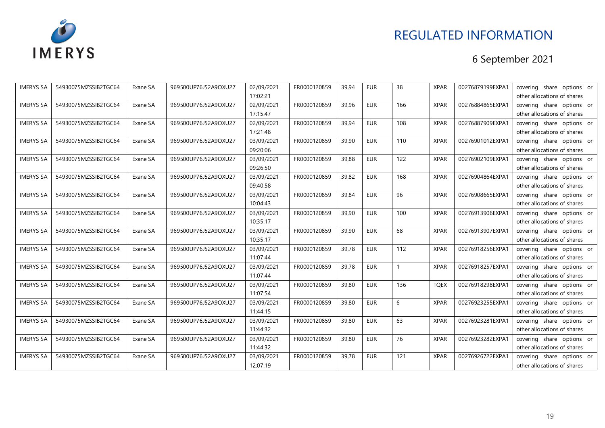

| <b>IMERYS SA</b> | 54930075MZSSIB2TGC64 | Exane SA | 969500UP76J52A9OXU27 | 02/09/2021 | FR0000120859 | 39,94 | <b>EUR</b> | 38           | <b>XPAR</b> | 00276879199EXPA1 | covering share options or   |
|------------------|----------------------|----------|----------------------|------------|--------------|-------|------------|--------------|-------------|------------------|-----------------------------|
|                  |                      |          |                      | 17:02:21   |              |       |            |              |             |                  | other allocations of shares |
| <b>IMERYS SA</b> | 54930075MZSSIB2TGC64 | Exane SA | 969500UP76J52A9OXU27 | 02/09/2021 | FR0000120859 | 39,96 | <b>EUR</b> | 166          | <b>XPAR</b> | 00276884865EXPA1 | covering share options or   |
|                  |                      |          |                      | 17:15:47   |              |       |            |              |             |                  | other allocations of shares |
| <b>IMERYS SA</b> | 54930075MZSSIB2TGC64 | Exane SA | 969500UP76J52A9OXU27 | 02/09/2021 | FR0000120859 | 39,94 | EUR        | 108          | <b>XPAR</b> | 00276887909EXPA1 | covering share options or   |
|                  |                      |          |                      | 17:21:48   |              |       |            |              |             |                  | other allocations of shares |
| <b>IMERYS SA</b> | 54930075MZSSIB2TGC64 | Exane SA | 969500UP76J52A9OXU27 | 03/09/2021 | FR0000120859 | 39,90 | <b>EUR</b> | 110          | <b>XPAR</b> | 00276901012EXPA1 | covering share options or   |
|                  |                      |          |                      | 09:20:06   |              |       |            |              |             |                  | other allocations of shares |
| <b>IMERYS SA</b> | 54930075MZSSIB2TGC64 | Exane SA | 969500UP76J52A9OXU27 | 03/09/2021 | FR0000120859 | 39,88 | EUR        | 122          | <b>XPAR</b> | 00276902109EXPA1 | covering share options or   |
|                  |                      |          |                      | 09:26:50   |              |       |            |              |             |                  | other allocations of shares |
| <b>IMERYS SA</b> | 54930075MZSSIB2TGC64 | Exane SA | 969500UP76J52A9OXU27 | 03/09/2021 | FR0000120859 | 39,82 | EUR        | 168          | <b>XPAR</b> | 00276904864EXPA1 | covering share options or   |
|                  |                      |          |                      | 09:40:58   |              |       |            |              |             |                  | other allocations of shares |
| <b>IMERYS SA</b> | 54930075MZSSIB2TGC64 | Exane SA | 969500UP76J52A9OXU27 | 03/09/2021 | FR0000120859 | 39,84 | <b>EUR</b> | 96           | <b>XPAR</b> | 00276908665EXPA1 | covering share options or   |
|                  |                      |          |                      | 10:04:43   |              |       |            |              |             |                  | other allocations of shares |
| <b>IMERYS SA</b> | 54930075MZSSIB2TGC64 | Exane SA | 969500UP76J52A9OXU27 | 03/09/2021 | FR0000120859 | 39,90 | <b>EUR</b> | 100          | <b>XPAR</b> | 00276913906EXPA1 | covering share options or   |
|                  |                      |          |                      | 10:35:17   |              |       |            |              |             |                  | other allocations of shares |
| <b>IMERYS SA</b> | 54930075MZSSIB2TGC64 | Exane SA | 969500UP76J52A9OXU27 | 03/09/2021 | FR0000120859 | 39,90 | EUR        | 68           | <b>XPAR</b> | 00276913907EXPA1 | covering share options or   |
|                  |                      |          |                      | 10:35:17   |              |       |            |              |             |                  | other allocations of shares |
| <b>IMERYS SA</b> | 54930075MZSSIB2TGC64 | Exane SA | 969500UP76J52A9OXU27 | 03/09/2021 | FR0000120859 | 39,78 | <b>EUR</b> | 112          | <b>XPAR</b> | 00276918256EXPA1 | covering share options or   |
|                  |                      |          |                      | 11:07:44   |              |       |            |              |             |                  | other allocations of shares |
| <b>IMERYS SA</b> | 54930075MZSSIB2TGC64 | Exane SA | 969500UP76J52A9OXU27 | 03/09/2021 | FR0000120859 | 39,78 | EUR        | $\mathbf{1}$ | <b>XPAR</b> | 00276918257EXPA1 | covering share options or   |
|                  |                      |          |                      | 11:07:44   |              |       |            |              |             |                  | other allocations of shares |
| <b>IMERYS SA</b> | 54930075MZSSIB2TGC64 | Exane SA | 969500UP76J52A9OXU27 | 03/09/2021 | FR0000120859 | 39,80 | <b>EUR</b> | 136          | <b>TQEX</b> | 00276918298EXPA1 | covering share options or   |
|                  |                      |          |                      | 11:07:54   |              |       |            |              |             |                  | other allocations of shares |
| <b>IMERYS SA</b> | 54930075MZSSIB2TGC64 | Exane SA | 969500UP76J52A9OXU27 | 03/09/2021 | FR0000120859 | 39,80 | <b>EUR</b> | 6            | <b>XPAR</b> | 00276923255EXPA1 | covering share options or   |
|                  |                      |          |                      | 11:44:15   |              |       |            |              |             |                  | other allocations of shares |
| <b>IMERYS SA</b> | 54930075MZSSIB2TGC64 | Exane SA | 969500UP76J52A9OXU27 | 03/09/2021 | FR0000120859 | 39,80 | <b>EUR</b> | 63           | <b>XPAR</b> | 00276923281EXPA1 | covering share options or   |
|                  |                      |          |                      | 11:44:32   |              |       |            |              |             |                  | other allocations of shares |
| <b>IMERYS SA</b> | 54930075MZSSIB2TGC64 | Exane SA | 969500UP76J52A9OXU27 | 03/09/2021 | FR0000120859 | 39,80 | EUR        | 76           | <b>XPAR</b> | 00276923282EXPA1 | covering share options or   |
|                  |                      |          |                      | 11:44:32   |              |       |            |              |             |                  | other allocations of shares |
| <b>IMERYS SA</b> | 54930075MZSSIB2TGC64 | Exane SA | 969500UP76J52A9OXU27 | 03/09/2021 | FR0000120859 | 39,78 | <b>EUR</b> | 121          | <b>XPAR</b> | 00276926722EXPA1 | covering share options or   |
|                  |                      |          |                      | 12:07:19   |              |       |            |              |             |                  | other allocations of shares |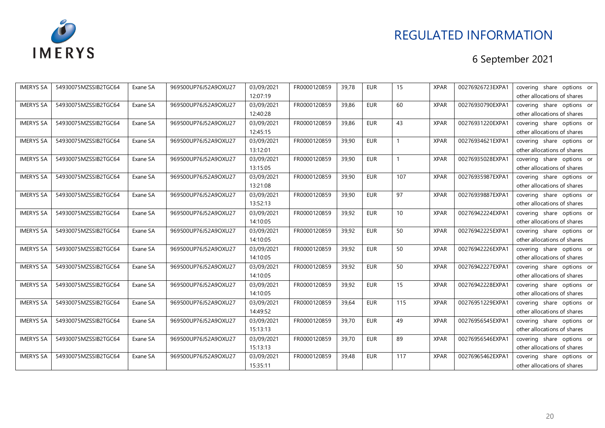

| <b>IMERYS SA</b> | 54930075MZSSIB2TGC64 | Exane SA | 969500UP76J52A9OXU27 | 03/09/2021 | FR0000120859 | 39,78 | <b>EUR</b> | 15              | <b>XPAR</b> | 00276926723EXPA1 | covering share options or   |
|------------------|----------------------|----------|----------------------|------------|--------------|-------|------------|-----------------|-------------|------------------|-----------------------------|
|                  |                      |          |                      | 12:07:19   |              |       |            |                 |             |                  | other allocations of shares |
| <b>IMERYS SA</b> | 54930075MZSSIB2TGC64 | Exane SA | 969500UP76J52A9OXU27 | 03/09/2021 | FR0000120859 | 39,86 | <b>EUR</b> | 60              | <b>XPAR</b> | 00276930790EXPA1 | covering share options or   |
|                  |                      |          |                      | 12:40:28   |              |       |            |                 |             |                  | other allocations of shares |
| <b>IMERYS SA</b> | 54930075MZSSIB2TGC64 | Exane SA | 969500UP76J52A9OXU27 | 03/09/2021 | FR0000120859 | 39,86 | <b>EUR</b> | 43              | <b>XPAR</b> | 00276931220EXPA1 | covering share options or   |
|                  |                      |          |                      | 12:45:15   |              |       |            |                 |             |                  | other allocations of shares |
| <b>IMERYS SA</b> | 54930075MZSSIB2TGC64 | Exane SA | 969500UP76J52A9OXU27 | 03/09/2021 | FR0000120859 | 39,90 | <b>EUR</b> |                 | <b>XPAR</b> | 00276934621EXPA1 | covering share options or   |
|                  |                      |          |                      | 13:12:01   |              |       |            |                 |             |                  | other allocations of shares |
| <b>IMERYS SA</b> | 54930075MZSSIB2TGC64 | Exane SA | 969500UP76J52A9OXU27 | 03/09/2021 | FR0000120859 | 39,90 | <b>EUR</b> |                 | <b>XPAR</b> | 00276935028EXPA1 | covering share options or   |
|                  |                      |          |                      | 13:15:05   |              |       |            |                 |             |                  | other allocations of shares |
| <b>IMERYS SA</b> | 54930075MZSSIB2TGC64 | Exane SA | 969500UP76J52A9OXU27 | 03/09/2021 | FR0000120859 | 39,90 | <b>EUR</b> | 107             | <b>XPAR</b> | 00276935987EXPA1 | covering share options or   |
|                  |                      |          |                      | 13:21:08   |              |       |            |                 |             |                  | other allocations of shares |
| <b>IMERYS SA</b> | 54930075MZSSIB2TGC64 | Exane SA | 969500UP76J52A9OXU27 | 03/09/2021 | FR0000120859 | 39,90 | <b>EUR</b> | 97              | <b>XPAR</b> | 00276939887EXPA1 | covering share options or   |
|                  |                      |          |                      | 13:52:13   |              |       |            |                 |             |                  | other allocations of shares |
| <b>IMERYS SA</b> | 54930075MZSSIB2TGC64 | Exane SA | 969500UP76J52A9OXU27 | 03/09/2021 | FR0000120859 | 39,92 | <b>EUR</b> | 10 <sup>1</sup> | <b>XPAR</b> | 00276942224EXPA1 | covering share options or   |
|                  |                      |          |                      | 14:10:05   |              |       |            |                 |             |                  | other allocations of shares |
| <b>IMERYS SA</b> | 54930075MZSSIB2TGC64 | Exane SA | 969500UP76J52A9OXU27 | 03/09/2021 | FR0000120859 | 39,92 | <b>EUR</b> | 50              | <b>XPAR</b> | 00276942225EXPA1 | covering share options or   |
|                  |                      |          |                      | 14:10:05   |              |       |            |                 |             |                  | other allocations of shares |
| <b>IMERYS SA</b> | 54930075MZSSIB2TGC64 | Exane SA | 969500UP76J52A9OXU27 | 03/09/2021 | FR0000120859 | 39,92 | <b>EUR</b> | 50              | <b>XPAR</b> | 00276942226EXPA1 | covering share options or   |
|                  |                      |          |                      | 14:10:05   |              |       |            |                 |             |                  | other allocations of shares |
| <b>IMERYS SA</b> | 54930075MZSSIB2TGC64 | Exane SA | 969500UP76J52A9OXU27 | 03/09/2021 | FR0000120859 | 39,92 | <b>EUR</b> | 50              | <b>XPAR</b> | 00276942227EXPA1 | covering share options or   |
|                  |                      |          |                      | 14:10:05   |              |       |            |                 |             |                  | other allocations of shares |
| <b>IMERYS SA</b> | 54930075MZSSIB2TGC64 | Exane SA | 969500UP76J52A9OXU27 | 03/09/2021 | FR0000120859 | 39,92 | <b>EUR</b> | 15              | <b>XPAR</b> | 00276942228EXPA1 | covering share options or   |
|                  |                      |          |                      | 14:10:05   |              |       |            |                 |             |                  | other allocations of shares |
| <b>IMERYS SA</b> | 54930075MZSSIB2TGC64 | Exane SA | 969500UP76J52A9OXU27 | 03/09/2021 | FR0000120859 | 39,64 | <b>EUR</b> | 115             | <b>XPAR</b> | 00276951229EXPA1 | covering share options or   |
|                  |                      |          |                      | 14:49:52   |              |       |            |                 |             |                  | other allocations of shares |
| <b>IMERYS SA</b> | 54930075MZSSIB2TGC64 | Exane SA | 969500UP76J52A9OXU27 | 03/09/2021 | FR0000120859 | 39,70 | <b>EUR</b> | 49              | <b>XPAR</b> | 00276956545EXPA1 | covering share options or   |
|                  |                      |          |                      | 15:13:13   |              |       |            |                 |             |                  | other allocations of shares |
| <b>IMERYS SA</b> | 54930075MZSSIB2TGC64 | Exane SA | 969500UP76J52A9OXU27 | 03/09/2021 | FR0000120859 | 39,70 | <b>EUR</b> | 89              | <b>XPAR</b> | 00276956546EXPA1 | covering share options or   |
|                  |                      |          |                      | 15:13:13   |              |       |            |                 |             |                  | other allocations of shares |
| <b>IMERYS SA</b> | 54930075MZSSIB2TGC64 | Exane SA | 969500UP76J52A9OXU27 | 03/09/2021 | FR0000120859 | 39,48 | <b>EUR</b> | 117             | <b>XPAR</b> | 00276965462EXPA1 | covering share options or   |
|                  |                      |          |                      | 15:35:11   |              |       |            |                 |             |                  | other allocations of shares |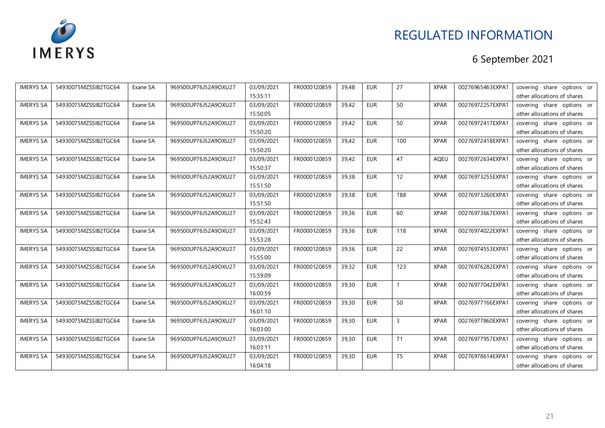

| <b>IMERYS SA</b> | 54930075MZSSIB2TGC64 | Exane SA | 969500UP76J52A9OXU27 | 03/09/2021 | FR0000120859 | 39,48 | <b>EUR</b> | 27  | <b>XPAR</b> | 00276965463EXPA1 | covering share options or   |
|------------------|----------------------|----------|----------------------|------------|--------------|-------|------------|-----|-------------|------------------|-----------------------------|
|                  |                      |          |                      | 15:35:11   |              |       |            |     |             |                  | other allocations of shares |
| <b>IMERYS SA</b> | 54930075MZSSIB2TGC64 | Exane SA | 969500UP76J52A9OXU27 | 03/09/2021 | FR0000120859 | 39,42 | <b>EUR</b> | 50  | <b>XPAR</b> | 00276972257EXPA1 | covering share options or   |
|                  |                      |          |                      | 15:50:05   |              |       |            |     |             |                  | other allocations of shares |
| <b>IMERYS SA</b> | 54930075MZSSIB2TGC64 | Exane SA | 969500UP76J52A9OXU27 | 03/09/2021 | FR0000120859 | 39,42 | <b>EUR</b> | 50  | <b>XPAR</b> | 00276972417EXPA1 | covering share options or   |
|                  |                      |          |                      | 15:50:20   |              |       |            |     |             |                  | other allocations of shares |
| <b>IMERYS SA</b> | 54930075MZSSIB2TGC64 | Exane SA | 969500UP76J52A9OXU27 | 03/09/2021 | FR0000120859 | 39,42 | <b>EUR</b> | 100 | <b>XPAR</b> | 00276972418EXPA1 | covering share options or   |
|                  |                      |          |                      | 15:50:20   |              |       |            |     |             |                  | other allocations of shares |
| <b>IMERYS SA</b> | 54930075MZSSIB2TGC64 | Exane SA | 969500UP76J52A9OXU27 | 03/09/2021 | FR0000120859 | 39,42 | <b>EUR</b> | 47  | <b>AQEU</b> | 00276972634EXPA1 | covering share options or   |
|                  |                      |          |                      | 15:50:37   |              |       |            |     |             |                  | other allocations of shares |
| <b>IMERYS SA</b> | 54930075MZSSIB2TGC64 | Exane SA | 969500UP76J52A9OXU27 | 03/09/2021 | FR0000120859 | 39,38 | <b>EUR</b> | 12  | <b>XPAR</b> | 00276973255EXPA1 | covering share options or   |
|                  |                      |          |                      | 15:51:50   |              |       |            |     |             |                  | other allocations of shares |
| <b>IMERYS SA</b> | 54930075MZSSIB2TGC64 | Exane SA | 969500UP76J52A9OXU27 | 03/09/2021 | FR0000120859 | 39,38 | <b>EUR</b> | 188 | <b>XPAR</b> | 00276973260EXPA1 | covering share options or   |
|                  |                      |          |                      | 15:51:50   |              |       |            |     |             |                  | other allocations of shares |
| <b>IMERYS SA</b> | 54930075MZSSIB2TGC64 | Exane SA | 969500UP76J52A9OXU27 | 03/09/2021 | FR0000120859 | 39,36 | <b>EUR</b> | 60  | <b>XPAR</b> | 00276973667EXPA1 | covering share options or   |
|                  |                      |          |                      | 15:52:43   |              |       |            |     |             |                  | other allocations of shares |
| <b>IMERYS SA</b> | 54930075MZSSIB2TGC64 | Exane SA | 969500UP76J52A9OXU27 | 03/09/2021 | FR0000120859 | 39,36 | <b>EUR</b> | 118 | <b>XPAR</b> | 00276974022EXPA1 | covering share options or   |
|                  |                      |          |                      | 15:53:28   |              |       |            |     |             |                  | other allocations of shares |
| <b>IMERYS SA</b> | 54930075MZSSIB2TGC64 | Exane SA | 969500UP76J52A9OXU27 | 03/09/2021 | FR0000120859 | 39,36 | <b>EUR</b> | 22  | <b>XPAR</b> | 00276974553EXPA1 | covering share options or   |
|                  |                      |          |                      | 15:55:00   |              |       |            |     |             |                  | other allocations of shares |
| <b>IMERYS SA</b> | 54930075MZSSIB2TGC64 | Exane SA | 969500UP76J52A9OXU27 | 03/09/2021 | FR0000120859 | 39,32 | <b>EUR</b> | 123 | <b>XPAR</b> | 00276976282EXPA1 | covering share options or   |
|                  |                      |          |                      | 15:59:09   |              |       |            |     |             |                  | other allocations of shares |
| <b>IMERYS SA</b> | 54930075MZSSIB2TGC64 | Exane SA | 969500UP76J52A9OXU27 | 03/09/2021 | FR0000120859 | 39,30 | <b>EUR</b> |     | <b>XPAR</b> | 00276977042EXPA1 | covering share options or   |
|                  |                      |          |                      | 16:00:59   |              |       |            |     |             |                  | other allocations of shares |
| <b>IMERYS SA</b> | 54930075MZSSIB2TGC64 | Exane SA | 969500UP76J52A9OXU27 | 03/09/2021 | FR0000120859 | 39,30 | <b>EUR</b> | 50  | <b>XPAR</b> | 00276977166EXPA1 | covering share options or   |
|                  |                      |          |                      | 16:01:10   |              |       |            |     |             |                  | other allocations of shares |
| <b>IMERYS SA</b> | 54930075MZSSIB2TGC64 | Exane SA | 969500UP76J52A9OXU27 | 03/09/2021 | FR0000120859 | 39,30 | <b>EUR</b> | 3   | <b>XPAR</b> | 00276977860EXPA1 | covering share options or   |
|                  |                      |          |                      | 16:03:00   |              |       |            |     |             |                  | other allocations of shares |
| <b>IMERYS SA</b> | 54930075MZSSIB2TGC64 | Exane SA | 969500UP76J52A9OXU27 | 03/09/2021 | FR0000120859 | 39,30 | <b>EUR</b> | 71  | <b>XPAR</b> | 00276977957EXPA1 | covering share options or   |
|                  |                      |          |                      | 16:03:11   |              |       |            |     |             |                  | other allocations of shares |
| <b>IMERYS SA</b> | 54930075MZSSIB2TGC64 | Exane SA | 969500UP76J52A9OXU27 | 03/09/2021 | FR0000120859 | 39,30 | <b>EUR</b> | 75  | <b>XPAR</b> | 00276978614EXPA1 | covering share options or   |
|                  |                      |          |                      | 16:04:18   |              |       |            |     |             |                  | other allocations of shares |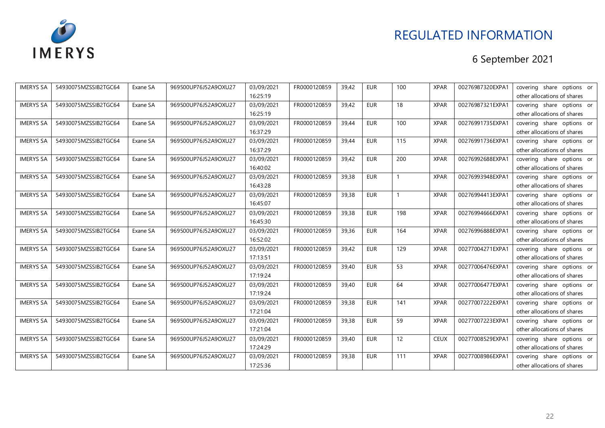

| <b>IMERYS SA</b> | 54930075MZSSIB2TGC64 | Exane SA | 969500UP76J52A9OXU27 | 03/09/2021 | FR0000120859 | 39,42 | <b>EUR</b> | 100 | <b>XPAR</b> | 00276987320EXPA1 | covering share options or   |
|------------------|----------------------|----------|----------------------|------------|--------------|-------|------------|-----|-------------|------------------|-----------------------------|
|                  |                      |          |                      | 16:25:19   |              |       |            |     |             |                  | other allocations of shares |
| <b>IMERYS SA</b> | 54930075MZSSIB2TGC64 | Exane SA | 969500UP76J52A9OXU27 | 03/09/2021 | FR0000120859 | 39,42 | <b>EUR</b> | 18  | <b>XPAR</b> | 00276987321EXPA1 | covering share options or   |
|                  |                      |          |                      | 16:25:19   |              |       |            |     |             |                  | other allocations of shares |
| <b>IMERYS SA</b> | 54930075MZSSIB2TGC64 | Exane SA | 969500UP76J52A9OXU27 | 03/09/2021 | FR0000120859 | 39,44 | <b>EUR</b> | 100 | <b>XPAR</b> | 00276991735EXPA1 | covering share options or   |
|                  |                      |          |                      | 16:37:29   |              |       |            |     |             |                  | other allocations of shares |
| <b>IMERYS SA</b> | 54930075MZSSIB2TGC64 | Exane SA | 969500UP76J52A9OXU27 | 03/09/2021 | FR0000120859 | 39,44 | <b>EUR</b> | 115 | <b>XPAR</b> | 00276991736EXPA1 | covering share options or   |
|                  |                      |          |                      | 16:37:29   |              |       |            |     |             |                  | other allocations of shares |
| <b>IMERYS SA</b> | 54930075MZSSIB2TGC64 | Exane SA | 969500UP76J52A9OXU27 | 03/09/2021 | FR0000120859 | 39,42 | <b>EUR</b> | 200 | <b>XPAR</b> | 00276992688EXPA1 | covering share options or   |
|                  |                      |          |                      | 16:40:02   |              |       |            |     |             |                  | other allocations of shares |
| <b>IMERYS SA</b> | 54930075MZSSIB2TGC64 | Exane SA | 969500UP76J52A9OXU27 | 03/09/2021 | FR0000120859 | 39,38 | <b>EUR</b> |     | <b>XPAR</b> | 00276993948EXPA1 | covering share options or   |
|                  |                      |          |                      | 16:43:28   |              |       |            |     |             |                  | other allocations of shares |
| <b>IMERYS SA</b> | 54930075MZSSIB2TGC64 | Exane SA | 969500UP76J52A9OXU27 | 03/09/2021 | FR0000120859 | 39,38 | <b>EUR</b> |     | <b>XPAR</b> | 00276994413EXPA1 | covering share options or   |
|                  |                      |          |                      | 16:45:07   |              |       |            |     |             |                  | other allocations of shares |
| <b>IMERYS SA</b> | 54930075MZSSIB2TGC64 | Exane SA | 969500UP76J52A9OXU27 | 03/09/2021 | FR0000120859 | 39,38 | <b>EUR</b> | 198 | <b>XPAR</b> | 00276994666EXPA1 | covering share options or   |
|                  |                      |          |                      | 16:45:30   |              |       |            |     |             |                  | other allocations of shares |
| <b>IMERYS SA</b> | 54930075MZSSIB2TGC64 | Exane SA | 969500UP76J52A9OXU27 | 03/09/2021 | FR0000120859 | 39,36 | <b>EUR</b> | 164 | <b>XPAR</b> | 00276996888EXPA1 | covering share options or   |
|                  |                      |          |                      | 16:52:02   |              |       |            |     |             |                  | other allocations of shares |
| <b>IMERYS SA</b> | 54930075MZSSIB2TGC64 | Exane SA | 969500UP76J52A9OXU27 | 03/09/2021 | FR0000120859 | 39,42 | <b>EUR</b> | 129 | <b>XPAR</b> | 00277004271EXPA1 | covering share options or   |
|                  |                      |          |                      | 17:13:51   |              |       |            |     |             |                  | other allocations of shares |
| <b>IMERYS SA</b> | 54930075MZSSIB2TGC64 | Exane SA | 969500UP76J52A9OXU27 | 03/09/2021 | FR0000120859 | 39,40 | <b>EUR</b> | 53  | <b>XPAR</b> | 00277006476EXPA1 | covering share options or   |
|                  |                      |          |                      | 17:19:24   |              |       |            |     |             |                  | other allocations of shares |
| <b>IMERYS SA</b> | 54930075MZSSIB2TGC64 | Exane SA | 969500UP76J52A9OXU27 | 03/09/2021 | FR0000120859 | 39,40 | <b>EUR</b> | 64  | <b>XPAR</b> | 00277006477EXPA1 | covering share options or   |
|                  |                      |          |                      | 17:19:24   |              |       |            |     |             |                  | other allocations of shares |
| <b>IMERYS SA</b> | 54930075MZSSIB2TGC64 | Exane SA | 969500UP76J52A9OXU27 | 03/09/2021 | FR0000120859 | 39,38 | <b>EUR</b> | 141 | <b>XPAR</b> | 00277007222EXPA1 | covering share options or   |
|                  |                      |          |                      | 17:21:04   |              |       |            |     |             |                  | other allocations of shares |
| <b>IMERYS SA</b> | 54930075MZSSIB2TGC64 | Exane SA | 969500UP76J52A9OXU27 | 03/09/2021 | FR0000120859 | 39,38 | <b>EUR</b> | 59  | <b>XPAR</b> | 00277007223EXPA1 | covering share options or   |
|                  |                      |          |                      | 17:21:04   |              |       |            |     |             |                  | other allocations of shares |
| <b>IMERYS SA</b> | 54930075MZSSIB2TGC64 | Exane SA | 969500UP76J52A9OXU27 | 03/09/2021 | FR0000120859 | 39,40 | <b>EUR</b> | 12  | <b>CEUX</b> | 00277008529EXPA1 | covering share options or   |
|                  |                      |          |                      | 17:24:29   |              |       |            |     |             |                  | other allocations of shares |
| <b>IMERYS SA</b> | 54930075MZSSIB2TGC64 | Exane SA | 969500UP76J52A9OXU27 | 03/09/2021 | FR0000120859 | 39,38 | <b>EUR</b> | 111 | <b>XPAR</b> | 00277008986EXPA1 | covering share options or   |
|                  |                      |          |                      | 17:25:36   |              |       |            |     |             |                  | other allocations of shares |